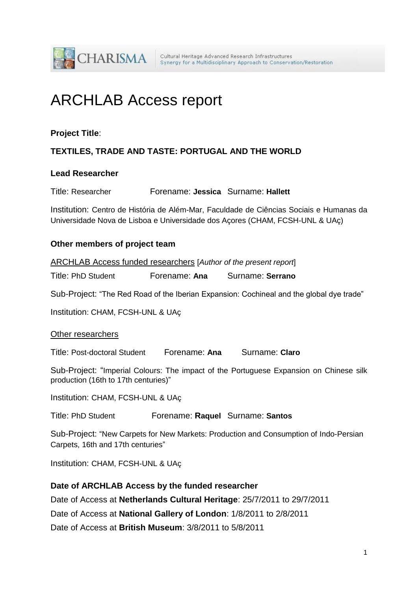

# ARCHLAB Access report

## **Project Title**:

# **TEXTILES, TRADE AND TASTE: PORTUGAL AND THE WORLD**

## **Lead Researcher**

| Title: Researcher | Forename: Jessica Surname: Hallett |  |
|-------------------|------------------------------------|--|
|-------------------|------------------------------------|--|

Institution: Centro de História de Além-Mar, Faculdade de Ciências Sociais e Humanas da Universidade Nova de Lisboa e Universidade dos Açores (CHAM, FCSH-UNL & UAç)

## **Other members of project team**

ARCHLAB Access funded researchers [*Author of the present report*]

Title: PhD Student Forename: **Ana** Surname: **Serrano**

Sub-Project: "The Red Road of the Iberian Expansion: Cochineal and the global dye trade"

Institution: CHAM, FCSH-UNL & UAç

## Other researchers

Title: Post-doctoral Student Forename: **Ana** Surname: **Claro**

Sub-Project: "Imperial Colours: The impact of the Portuguese Expansion on Chinese silk production (16th to 17th centuries)"

Institution: CHAM, FCSH-UNL & UAç

Title: PhD Student Forename: **Raquel** Surname: **Santos**

Sub-Project: "New Carpets for New Markets: Production and Consumption of Indo-Persian Carpets, 16th and 17th centuries"

Institution: CHAM, FCSH-UNL & UAç

## **Date of ARCHLAB Access by the funded researcher**

Date of Access at **Netherlands Cultural Heritage**: 25/7/2011 to 29/7/2011

Date of Access at **National Gallery of London**: 1/8/2011 to 2/8/2011

Date of Access at **British Museum**: 3/8/2011 to 5/8/2011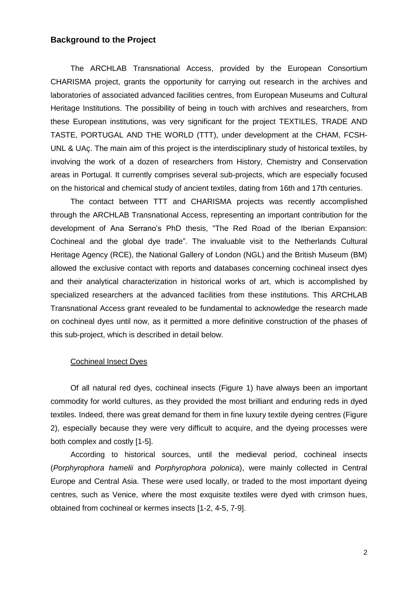## **Background to the Project**

The ARCHLAB Transnational Access, provided by the European Consortium CHARISMA project, grants the opportunity for carrying out research in the archives and laboratories of associated advanced facilities centres, from European Museums and Cultural Heritage Institutions. The possibility of being in touch with archives and researchers, from these European institutions, was very significant for the project TEXTILES, TRADE AND TASTE, PORTUGAL AND THE WORLD (TTT), under development at the CHAM, FCSH-UNL & UAç. The main aim of this project is the interdisciplinary study of historical textiles, by involving the work of a dozen of researchers from History, Chemistry and Conservation areas in Portugal. It currently comprises several sub-projects, which are especially focused on the historical and chemical study of ancient textiles, dating from 16th and 17th centuries.

The contact between TTT and CHARISMA projects was recently accomplished through the ARCHLAB Transnational Access, representing an important contribution for the development of Ana Serrano's PhD thesis, "The Red Road of the Iberian Expansion: Cochineal and the global dye trade". The invaluable visit to the Netherlands Cultural Heritage Agency (RCE), the National Gallery of London (NGL) and the British Museum (BM) allowed the exclusive contact with reports and databases concerning cochineal insect dyes and their analytical characterization in historical works of art, which is accomplished by specialized researchers at the advanced facilities from these institutions. This ARCHLAB Transnational Access grant revealed to be fundamental to acknowledge the research made on cochineal dyes until now, as it permitted a more definitive construction of the phases of this sub-project, which is described in detail below.

#### Cochineal Insect Dyes

Of all natural red dyes, cochineal insects (Figure 1) have always been an important commodity for world cultures, as they provided the most brilliant and enduring reds in dyed textiles. Indeed, there was great demand for them in fine luxury textile dyeing centres (Figure 2), especially because they were very difficult to acquire, and the dyeing processes were both complex and costly [1-5].

According to historical sources, until the medieval period, cochineal insects (*Porphyrophora hamelii* and *Porphyrophora polonica*), were mainly collected in Central Europe and Central Asia. These were used locally, or traded to the most important dyeing centres, such as Venice, where the most exquisite textiles were dyed with crimson hues, obtained from cochineal or kermes insects [1-2, 4-5, 7-9].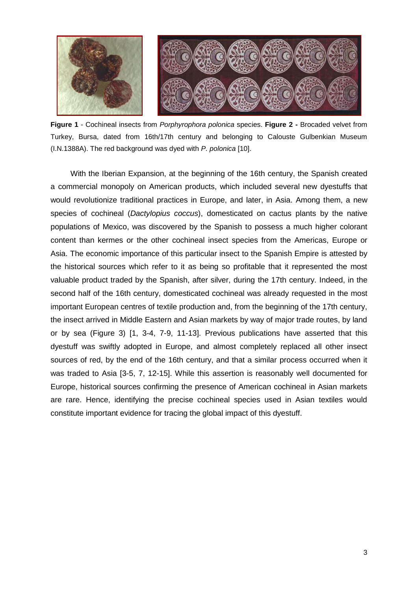

**Figure 1** - Cochineal insects from *Porphyrophora polonica* species. **Figure 2 -** Brocaded velvet from Turkey, Bursa, dated from 16th/17th century and belonging to Calouste Gulbenkian Museum (I.N.1388A). The red background was dyed with *P. polonica* [10].

With the Iberian Expansion, at the beginning of the 16th century, the Spanish created a commercial monopoly on American products, which included several new dyestuffs that would revolutionize traditional practices in Europe, and later, in Asia. Among them, a new species of cochineal (*Dactylopius coccus*), domesticated on cactus plants by the native populations of Mexico, was discovered by the Spanish to possess a much higher colorant content than kermes or the other cochineal insect species from the Americas, Europe or Asia. The economic importance of this particular insect to the Spanish Empire is attested by the historical sources which refer to it as being so profitable that it represented the most valuable product traded by the Spanish, after silver, during the 17th century. Indeed, in the second half of the 16th century, domesticated cochineal was already requested in the most important European centres of textile production and, from the beginning of the 17th century, the insect arrived in Middle Eastern and Asian markets by way of major trade routes, by land or by sea (Figure 3) [1, 3-4, 7-9, 11-13]. Previous publications have asserted that this dyestuff was swiftly adopted in Europe, and almost completely replaced all other insect sources of red, by the end of the 16th century, and that a similar process occurred when it was traded to Asia [3-5, 7, 12-15]. While this assertion is reasonably well documented for Europe, historical sources confirming the presence of American cochineal in Asian markets are rare. Hence, identifying the precise cochineal species used in Asian textiles would constitute important evidence for tracing the global impact of this dyestuff.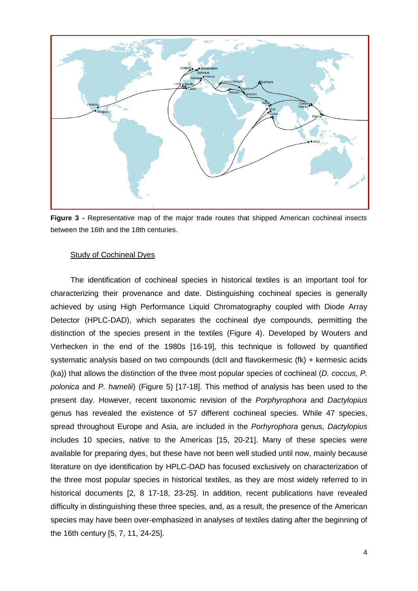

**Figure 3 -** Representative map of the major trade routes that shipped American cochineal insects between the 16th and the 18th centuries.

#### Study of Cochineal Dyes

The identification of cochineal species in historical textiles is an important tool for characterizing their provenance and date. Distinguishing cochineal species is generally achieved by using High Performance Liquid Chromatography coupled with Diode Array Detector (HPLC-DAD), which separates the cochineal dye compounds, permitting the distinction of the species present in the textiles (Figure 4). Developed by Wouters and Verhecken in the end of the 1980s [16-19], this technique is followed by quantified systematic analysis based on two compounds (dcII and flavokermesic (fk) + kermesic acids (ka)) that allows the distinction of the three most popular species of cochineal (*D. coccus, P. polonica* and *P. hamelii*) (Figure 5) [17-18]. This method of analysis has been used to the present day. However, recent taxonomic revision of the *Porphyrophora* and *Dactylopius* genus has revealed the existence of 57 different cochineal species. While 47 species, spread throughout Europe and Asia, are included in the *Porhyrophora* genus, *Dactylopius* includes 10 species, native to the Americas [15, 20-21]. Many of these species were available for preparing dyes, but these have not been well studied until now, mainly because literature on dye identification by HPLC-DAD has focused exclusively on characterization of the three most popular species in historical textiles, as they are most widely referred to in historical documents [2, 8 17-18, 23-25]. In addition, recent publications have revealed difficulty in distinguishing these three species, and, as a result, the presence of the American species may have been over-emphasized in analyses of textiles dating after the beginning of the 16th century [5, 7, 11, 24-25].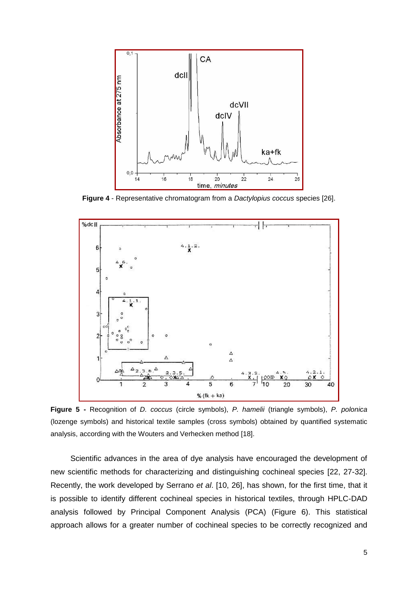

**Figure 4** - Representative chromatogram from a *Dactylopius coccus* species [26].



**Figure 5 -** Recognition of *D. coccus* (circle symbols), *P. hamelii* (triangle symbols), *P. polonica* (lozenge symbols) and historical textile samples (cross symbols) obtained by quantified systematic analysis, according with the Wouters and Verhecken method [18].

Scientific advances in the area of dye analysis have encouraged the development of new scientific methods for characterizing and distinguishing cochineal species [22, 27-32]. Recently, the work developed by Serrano *et al*. [10, 26], has shown, for the first time, that it is possible to identify different cochineal species in historical textiles, through HPLC-DAD analysis followed by Principal Component Analysis (PCA) (Figure 6). This statistical approach allows for a greater number of cochineal species to be correctly recognized and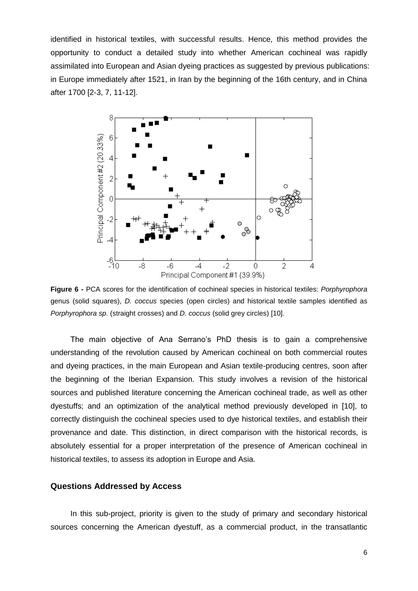identified in historical textiles, with successful results. Hence, this method provides the opportunity to conduct a detailed study into whether American cochineal was rapidly assimilated into European and Asian dyeing practices as suggested by previous publications: in Europe immediately after 1521, in Iran by the beginning of the 16th century, and in China after 1700 [2-3, 7, 11-12].



**Figure 6 -** PCA scores for the identification of cochineal species in historical textiles: *Porphyrophora* genus (solid squares), *D. coccus* species (open circles) and historical textile samples identified as *Porphyrophora sp.* (straight crosses) and *D. coccus* (solid grey circles) [10].

The main objective of Ana Serrano's PhD thesis is to gain a comprehensive understanding of the revolution caused by American cochineal on both commercial routes and dyeing practices, in the main European and Asian textile-producing centres, soon after the beginning of the Iberian Expansion. This study involves a revision of the historical sources and published literature concerning the American cochineal trade, as well as other dyestuffs; and an optimization of the analytical method previously developed in [10], to correctly distinguish the cochineal species used to dye historical textiles, and establish their provenance and date. This distinction, in direct comparison with the historical records, is absolutely essential for a proper interpretation of the presence of American cochineal in historical textiles, to assess its adoption in Europe and Asia.

#### **Questions Addressed by Access**

In this sub-project, priority is given to the study of primary and secondary historical sources concerning the American dyestuff, as a commercial product, in the transatlantic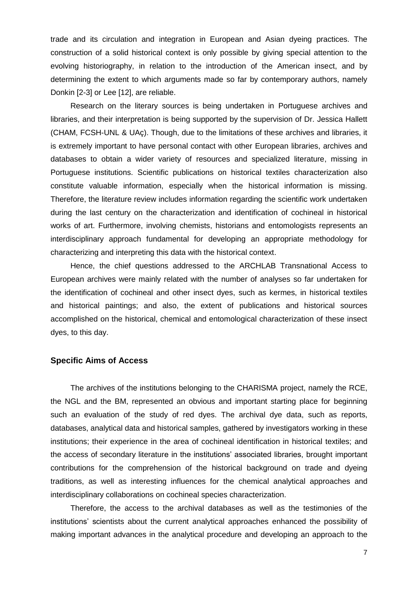trade and its circulation and integration in European and Asian dyeing practices. The construction of a solid historical context is only possible by giving special attention to the evolving historiography, in relation to the introduction of the American insect, and by determining the extent to which arguments made so far by contemporary authors, namely Donkin [2-3] or Lee [12], are reliable.

Research on the literary sources is being undertaken in Portuguese archives and libraries, and their interpretation is being supported by the supervision of Dr. Jessica Hallett (CHAM, FCSH-UNL & UAç). Though, due to the limitations of these archives and libraries, it is extremely important to have personal contact with other European libraries, archives and databases to obtain a wider variety of resources and specialized literature, missing in Portuguese institutions. Scientific publications on historical textiles characterization also constitute valuable information, especially when the historical information is missing. Therefore, the literature review includes information regarding the scientific work undertaken during the last century on the characterization and identification of cochineal in historical works of art. Furthermore, involving chemists, historians and entomologists represents an interdisciplinary approach fundamental for developing an appropriate methodology for characterizing and interpreting this data with the historical context.

Hence, the chief questions addressed to the ARCHLAB Transnational Access to European archives were mainly related with the number of analyses so far undertaken for the identification of cochineal and other insect dyes, such as kermes, in historical textiles and historical paintings; and also, the extent of publications and historical sources accomplished on the historical, chemical and entomological characterization of these insect dyes, to this day.

## **Specific Aims of Access**

The archives of the institutions belonging to the CHARISMA project, namely the RCE, the NGL and the BM, represented an obvious and important starting place for beginning such an evaluation of the study of red dyes. The archival dye data, such as reports, databases, analytical data and historical samples, gathered by investigators working in these institutions; their experience in the area of cochineal identification in historical textiles; and the access of secondary literature in the institutions' associated libraries, brought important contributions for the comprehension of the historical background on trade and dyeing traditions, as well as interesting influences for the chemical analytical approaches and interdisciplinary collaborations on cochineal species characterization.

Therefore, the access to the archival databases as well as the testimonies of the institutions' scientists about the current analytical approaches enhanced the possibility of making important advances in the analytical procedure and developing an approach to the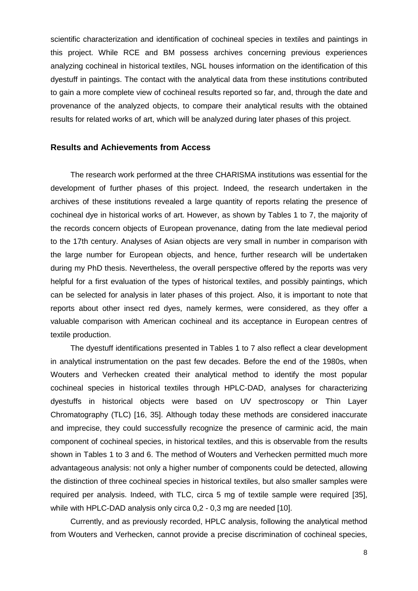scientific characterization and identification of cochineal species in textiles and paintings in this project. While RCE and BM possess archives concerning previous experiences analyzing cochineal in historical textiles, NGL houses information on the identification of this dyestuff in paintings. The contact with the analytical data from these institutions contributed to gain a more complete view of cochineal results reported so far, and, through the date and provenance of the analyzed objects, to compare their analytical results with the obtained results for related works of art, which will be analyzed during later phases of this project.

### **Results and Achievements from Access**

The research work performed at the three CHARISMA institutions was essential for the development of further phases of this project. Indeed, the research undertaken in the archives of these institutions revealed a large quantity of reports relating the presence of cochineal dye in historical works of art. However, as shown by Tables 1 to 7, the majority of the records concern objects of European provenance, dating from the late medieval period to the 17th century. Analyses of Asian objects are very small in number in comparison with the large number for European objects, and hence, further research will be undertaken during my PhD thesis. Nevertheless, the overall perspective offered by the reports was very helpful for a first evaluation of the types of historical textiles, and possibly paintings, which can be selected for analysis in later phases of this project. Also, it is important to note that reports about other insect red dyes, namely kermes, were considered, as they offer a valuable comparison with American cochineal and its acceptance in European centres of textile production.

The dyestuff identifications presented in Tables 1 to 7 also reflect a clear development in analytical instrumentation on the past few decades. Before the end of the 1980s, when Wouters and Verhecken created their analytical method to identify the most popular cochineal species in historical textiles through HPLC-DAD, analyses for characterizing dyestuffs in historical objects were based on UV spectroscopy or Thin Layer Chromatography (TLC) [16, 35]. Although today these methods are considered inaccurate and imprecise, they could successfully recognize the presence of carminic acid, the main component of cochineal species, in historical textiles, and this is observable from the results shown in Tables 1 to 3 and 6. The method of Wouters and Verhecken permitted much more advantageous analysis: not only a higher number of components could be detected, allowing the distinction of three cochineal species in historical textiles, but also smaller samples were required per analysis. Indeed, with TLC, circa 5 mg of textile sample were required [35], while with HPLC-DAD analysis only circa 0,2 - 0,3 mg are needed [10].

Currently, and as previously recorded, HPLC analysis, following the analytical method from Wouters and Verhecken, cannot provide a precise discrimination of cochineal species,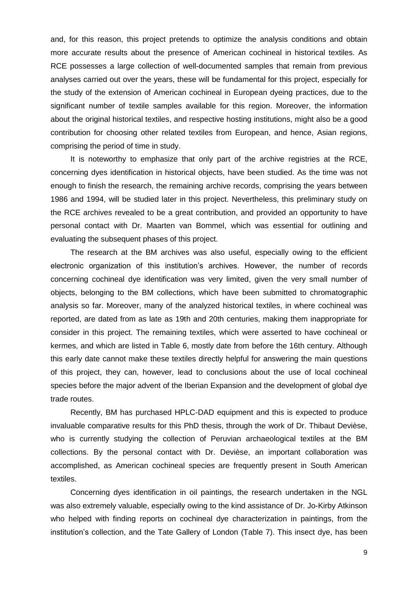and, for this reason, this project pretends to optimize the analysis conditions and obtain more accurate results about the presence of American cochineal in historical textiles. As RCE possesses a large collection of well-documented samples that remain from previous analyses carried out over the years, these will be fundamental for this project, especially for the study of the extension of American cochineal in European dyeing practices, due to the significant number of textile samples available for this region. Moreover, the information about the original historical textiles, and respective hosting institutions, might also be a good contribution for choosing other related textiles from European, and hence, Asian regions, comprising the period of time in study.

It is noteworthy to emphasize that only part of the archive registries at the RCE, concerning dyes identification in historical objects, have been studied. As the time was not enough to finish the research, the remaining archive records, comprising the years between 1986 and 1994, will be studied later in this project. Nevertheless, this preliminary study on the RCE archives revealed to be a great contribution, and provided an opportunity to have personal contact with Dr. Maarten van Bommel, which was essential for outlining and evaluating the subsequent phases of this project.

The research at the BM archives was also useful, especially owing to the efficient electronic organization of this institution's archives. However, the number of records concerning cochineal dye identification was very limited, given the very small number of objects, belonging to the BM collections, which have been submitted to chromatographic analysis so far. Moreover, many of the analyzed historical textiles, in where cochineal was reported, are dated from as late as 19th and 20th centuries, making them inappropriate for consider in this project. The remaining textiles, which were asserted to have cochineal or kermes, and which are listed in Table 6, mostly date from before the 16th century. Although this early date cannot make these textiles directly helpful for answering the main questions of this project, they can, however, lead to conclusions about the use of local cochineal species before the major advent of the Iberian Expansion and the development of global dye trade routes.

Recently, BM has purchased HPLC-DAD equipment and this is expected to produce invaluable comparative results for this PhD thesis, through the work of Dr. Thibaut Devièse, who is currently studying the collection of Peruvian archaeological textiles at the BM collections. By the personal contact with Dr. Devièse, an important collaboration was accomplished, as American cochineal species are frequently present in South American textiles.

Concerning dyes identification in oil paintings, the research undertaken in the NGL was also extremely valuable, especially owing to the kind assistance of Dr. Jo-Kirby Atkinson who helped with finding reports on cochineal dye characterization in paintings, from the institution's collection, and the Tate Gallery of London (Table 7). This insect dye, has been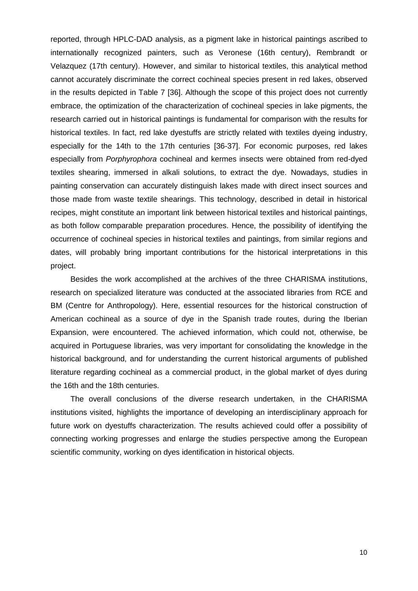reported, through HPLC-DAD analysis, as a pigment lake in historical paintings ascribed to internationally recognized painters, such as Veronese (16th century), Rembrandt or Velazquez (17th century). However, and similar to historical textiles, this analytical method cannot accurately discriminate the correct cochineal species present in red lakes, observed in the results depicted in Table 7 [36]. Although the scope of this project does not currently embrace, the optimization of the characterization of cochineal species in lake pigments, the research carried out in historical paintings is fundamental for comparison with the results for historical textiles. In fact, red lake dyestuffs are strictly related with textiles dyeing industry, especially for the 14th to the 17th centuries [36-37]. For economic purposes, red lakes especially from *Porphyrophora* cochineal and kermes insects were obtained from red-dyed textiles shearing, immersed in alkali solutions, to extract the dye. Nowadays, studies in painting conservation can accurately distinguish lakes made with direct insect sources and those made from waste textile shearings. This technology, described in detail in historical recipes, might constitute an important link between historical textiles and historical paintings, as both follow comparable preparation procedures. Hence, the possibility of identifying the occurrence of cochineal species in historical textiles and paintings, from similar regions and dates, will probably bring important contributions for the historical interpretations in this project.

Besides the work accomplished at the archives of the three CHARISMA institutions, research on specialized literature was conducted at the associated libraries from RCE and BM (Centre for Anthropology). Here, essential resources for the historical construction of American cochineal as a source of dye in the Spanish trade routes, during the Iberian Expansion, were encountered. The achieved information, which could not, otherwise, be acquired in Portuguese libraries, was very important for consolidating the knowledge in the historical background, and for understanding the current historical arguments of published literature regarding cochineal as a commercial product, in the global market of dyes during the 16th and the 18th centuries.

The overall conclusions of the diverse research undertaken, in the CHARISMA institutions visited, highlights the importance of developing an interdisciplinary approach for future work on dyestuffs characterization. The results achieved could offer a possibility of connecting working progresses and enlarge the studies perspective among the European scientific community, working on dyes identification in historical objects.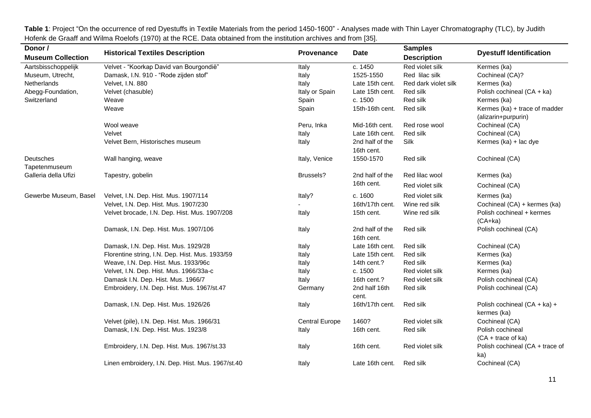Table 1: Project "On the occurrence of red Dyestuffs in Textile Materials from the period 1450-1600" - Analyses made with Thin Layer Chromatography (TLC), by Judith Hofenk de Graaff and Wilma Roelofs (1970) at the RCE. Data obtained from the institution archives and from [35].

| Donor /                    |                                                   |                       |                               | <b>Samples</b>       |                                                      |
|----------------------------|---------------------------------------------------|-----------------------|-------------------------------|----------------------|------------------------------------------------------|
| <b>Museum Collection</b>   | <b>Historical Textiles Description</b>            | <b>Provenance</b>     | <b>Date</b>                   | <b>Description</b>   | <b>Dyestuff Identification</b>                       |
| Aartsbisschoppelijk        | Velvet - "Koorkap David van Bourgondië"           | Italy                 | c. 1450                       | Red violet silk      | Kermes (ka)                                          |
| Museum, Utrecht,           | Damask, I.N. 910 - "Rode zijden stof"             | Italy                 | 1525-1550                     | Red lilac silk       | Cochineal (CA)?                                      |
| Netherlands                | Velvet, I.N. 880                                  | Italy                 | Late 15th cent.               | Red dark violet silk | Kermes (ka)                                          |
| Abegg-Foundation,          | Velvet (chasuble)                                 | Italy or Spain        | Late 15th cent.               | Red silk             | Polish cochineal (CA + ka)                           |
| Switzerland                | Weave                                             | Spain                 | c. 1500                       | Red silk             | Kermes (ka)                                          |
|                            | Weave                                             | Spain                 | 15th-16th cent.               | Red silk             | Kermes (ka) + trace of madder<br>(alizarin+purpurin) |
|                            | Wool weave                                        | Peru, Inka            | Mid-16th cent.                | Red rose wool        | Cochineal (CA)                                       |
|                            | Velvet                                            | Italy                 | Late 16th cent.               | Red silk             | Cochineal (CA)                                       |
|                            | Velvet Bern, Historisches museum                  | Italy                 | 2nd half of the               | Silk                 | Kermes (ka) + lac dye                                |
|                            |                                                   |                       | 16th cent.                    |                      |                                                      |
| Deutsches<br>Tapetenmuseum | Wall hanging, weave                               | Italy, Venice         | 1550-1570                     | Red silk             | Cochineal (CA)                                       |
| Galleria della Ufizi       | Tapestry, gobelin                                 | Brussels?             | 2nd half of the               | Red lilac wool       | Kermes (ka)                                          |
|                            |                                                   |                       | 16th cent.                    | Red violet silk      | Cochineal (CA)                                       |
| Gewerbe Museum, Basel      | Velvet, I.N. Dep. Hist. Mus. 1907/114             | Italy?                | c. 1600                       | Red violet silk      | Kermes (ka)                                          |
|                            | Velvet, I.N. Dep. Hist. Mus. 1907/230             |                       | 16th/17th cent.               | Wine red silk        | Cochineal (CA) + kermes (ka)                         |
|                            | Velvet brocade, I.N. Dep. Hist. Mus. 1907/208     | Italy                 | 15th cent.                    | Wine red silk        | Polish cochineal + kermes<br>$(CA+ka)$               |
|                            | Damask, I.N. Dep. Hist. Mus. 1907/106             | Italy                 | 2nd half of the<br>16th cent. | Red silk             | Polish cochineal (CA)                                |
|                            | Damask, I.N. Dep. Hist. Mus. 1929/28              | Italy                 | Late 16th cent.               | Red silk             | Cochineal (CA)                                       |
|                            | Florentine string, I.N. Dep. Hist. Mus. 1933/59   | Italy                 | Late 15th cent.               | Red silk             | Kermes (ka)                                          |
|                            | Weave, I.N. Dep. Hist. Mus. 1933/96c              | Italy                 | 14th cent.?                   | Red silk             | Kermes (ka)                                          |
|                            | Velvet, I.N. Dep. Hist. Mus. 1966/33a-c           | Italy                 | c. 1500                       | Red violet silk      | Kermes (ka)                                          |
|                            | Damask I.N. Dep. Hist. Mus. 1966/7                | Italy                 | 16th cent.?                   | Red violet silk      | Polish cochineal (CA)                                |
|                            | Embroidery, I.N. Dep. Hist. Mus. 1967/st.47       | Germany               | 2nd half 16th<br>cent.        | Red silk             | Polish cochineal (CA)                                |
|                            | Damask, I.N. Dep. Hist. Mus. 1926/26              | Italy                 | 16th/17th cent.               | Red silk             | Polish cochineal (CA + ka) +<br>kermes (ka)          |
|                            | Velvet (pile), I.N. Dep. Hist. Mus. 1966/31       | <b>Central Europe</b> | 1460?                         | Red violet silk      | Cochineal (CA)                                       |
|                            | Damask, I.N. Dep. Hist. Mus. 1923/8               | Italy                 | 16th cent.                    | Red silk             | Polish cochineal                                     |
|                            |                                                   |                       |                               |                      | $(CA + trace of ka)$                                 |
|                            | Embroidery, I.N. Dep. Hist. Mus. 1967/st.33       | Italy                 | 16th cent.                    | Red violet silk      | Polish cochineal (CA + trace of<br>ka)               |
|                            | Linen embroidery, I.N. Dep. Hist. Mus. 1967/st.40 | Italy                 | Late 16th cent.               | Red silk             | Cochineal (CA)                                       |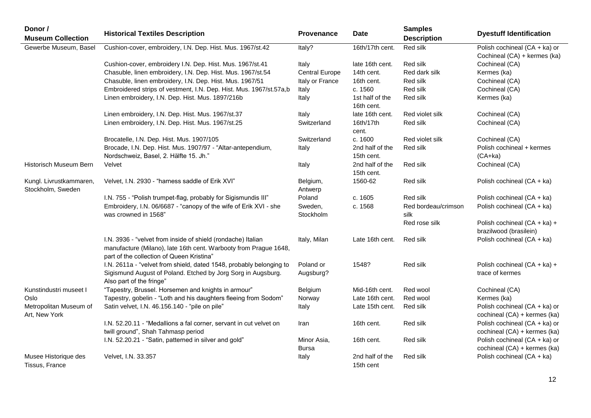| Donor /<br><b>Museum Collection</b>          | <b>Historical Textiles Description</b>                                                                                                                                        | Provenance             | <b>Date</b>                   | <b>Samples</b><br><b>Description</b> | <b>Dyestuff Identification</b>                                |
|----------------------------------------------|-------------------------------------------------------------------------------------------------------------------------------------------------------------------------------|------------------------|-------------------------------|--------------------------------------|---------------------------------------------------------------|
| Gewerbe Museum, Basel                        | Cushion-cover, embroidery, I.N. Dep. Hist. Mus. 1967/st.42                                                                                                                    | Italy?                 | 16th/17th cent.               | Red silk                             | Polish cochineal (CA + ka) or<br>Cochineal (CA) + kermes (ka) |
|                                              | Cushion-cover, embroidery I.N. Dep. Hist. Mus. 1967/st.41                                                                                                                     | Italy                  | late 16th cent.               | Red silk                             | Cochineal (CA)                                                |
|                                              | Chasuble, linen embroidery, I.N. Dep. Hist. Mus. 1967/st.54                                                                                                                   | <b>Central Europe</b>  | 14th cent.                    | Red dark silk                        | Kermes (ka)                                                   |
|                                              | Chasuble, linen embroidery, I.N. Dep. Hist. Mus. 1967/51                                                                                                                      | Italy or France        | 16th cent.                    | Red silk                             | Cochineal (CA)                                                |
|                                              | Embroidered strips of vestment, I.N. Dep. Hist. Mus. 1967/st.57a,b                                                                                                            | Italy                  | c. 1560                       | Red silk                             | Cochineal (CA)                                                |
|                                              | Linen embroidery, I.N. Dep. Hist. Mus. 1897/216b                                                                                                                              | Italy                  | 1st half of the<br>16th cent. | Red silk                             | Kermes (ka)                                                   |
|                                              | Linen embroidery, I.N. Dep. Hist. Mus. 1967/st.37                                                                                                                             | Italy                  | late 16th cent.               | Red violet silk                      | Cochineal (CA)                                                |
|                                              | Linen embroidery, I.N. Dep. Hist. Mus. 1967/st.25                                                                                                                             | Switzerland            | 16th/17th<br>cent.            | Red silk                             | Cochineal (CA)                                                |
|                                              | Brocatelle, I.N. Dep. Hist. Mus. 1907/105                                                                                                                                     | Switzerland            | c. 1600                       | Red violet silk                      | Cochineal (CA)                                                |
|                                              | Brocade, I.N. Dep. Hist. Mus. 1907/97 - "Altar-antependium,<br>Nordschweiz, Basel, 2. Hälfte 15. Jh."                                                                         | Italy                  | 2nd half of the<br>15th cent. | Red silk                             | Polish cochineal + kermes<br>$(CA+ka)$                        |
| Historisch Museum Bern                       | Velvet                                                                                                                                                                        | Italy                  | 2nd half of the<br>15th cent. | Red silk                             | Cochineal (CA)                                                |
| Kungl. Livrustkammaren,<br>Stockholm, Sweden | Velvet, I.N. 2930 - "harness saddle of Erik XVI"                                                                                                                              | Belgium,<br>Antwerp    | 1560-62                       | Red silk                             | Polish cochineal (CA + ka)                                    |
|                                              | I.N. 755 - "Polish trumpet-flag, probably for Sigismundis III"                                                                                                                | Poland                 | c. 1605                       | Red silk                             | Polish cochineal (CA + ka)                                    |
|                                              | Embroidery, I.N. 06/6687 - "canopy of the wife of Erik XVI - she<br>was crowned in 1568"                                                                                      | Sweden,<br>Stockholm   | c. 1568                       | Red bordeau/crimson<br>silk          | Polish cochineal (CA + ka)                                    |
|                                              |                                                                                                                                                                               |                        |                               | Red rose silk                        | Polish cochineal (CA + ka) +<br>brazilwood (brasilein)        |
|                                              | I.N. 3936 - "velvet from inside of shield (rondache) Italian<br>manufacture (Milano), late 16th cent. Warbooty from Prague 1648,<br>part of the collection of Queen Kristina" | Italy, Milan           | Late 16th cent.               | <b>Red silk</b>                      | Polish cochineal (CA + ka)                                    |
|                                              | I.N. 2611a - "velvet from shield, dated 1548, probably belonging to<br>Sigismund August of Poland. Etched by Jorg Sorg in Augsburg.<br>Also part of the fringe"               | Poland or<br>Augsburg? | 1548?                         | Red silk                             | Polish cochineal (CA + ka) +<br>trace of kermes               |
| Kunstindustri museet I                       | "Tapestry, Brussel. Horsemen and knights in armour"                                                                                                                           | Belgium                | Mid-16th cent.                | Red wool                             | Cochineal (CA)                                                |
| Oslo                                         | Tapestry, gobelin - "Loth and his daughters fleeing from Sodom"                                                                                                               | Norway                 | Late 16th cent.               | Red wool                             | Kermes (ka)                                                   |
| Metropolitan Museum of<br>Art, New York      | Satin velvet, I.N. 46.156.140 - "pile on pile"                                                                                                                                | Italy                  | Late 15th cent.               | Red silk                             | Polish cochineal (CA + ka) or<br>cochineal (CA) + kermes (ka) |
|                                              | I.N. 52.20.11 - "Medallions a fal corner, servant in cut velvet on<br>twill ground", Shah Tahmasp period                                                                      | Iran                   | 16th cent.                    | Red silk                             | Polish cochineal (CA + ka) or<br>cochineal (CA) + kermes (ka) |
|                                              | I.N. 52.20.21 - "Satin, patterned in silver and gold"                                                                                                                         | Minor Asia,<br>Bursa   | 16th cent.                    | Red silk                             | Polish cochineal (CA + ka) or<br>cochineal (CA) + kermes (ka) |
| Musee Historique des<br>Tissus, France       | Velvet, I.N. 33.357                                                                                                                                                           | Italy                  | 2nd half of the<br>15th cent  | Red silk                             | Polish cochineal (CA + ka)                                    |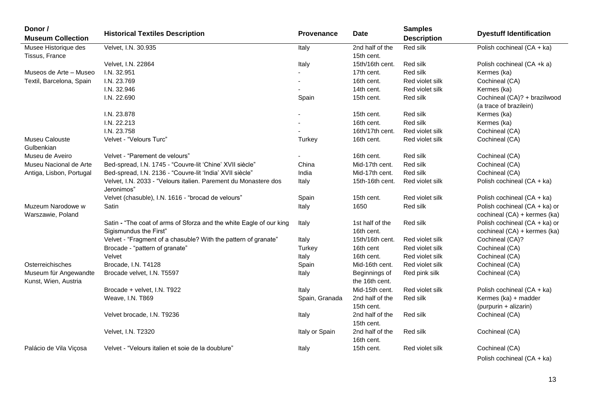| Donor /<br><b>Museum Collection</b>           | <b>Historical Textiles Description</b>                                                        | Provenance     | <b>Date</b>                     | <b>Samples</b><br><b>Description</b> | <b>Dyestuff Identification</b>                                |
|-----------------------------------------------|-----------------------------------------------------------------------------------------------|----------------|---------------------------------|--------------------------------------|---------------------------------------------------------------|
| Musee Historique des                          | Velvet, I.N. 30.935                                                                           | Italy          | 2nd half of the                 | Red silk                             | Polish cochineal (CA + ka)                                    |
| Tissus, France                                |                                                                                               |                | 15th cent.                      |                                      |                                                               |
|                                               | Velvet, I.N. 22864                                                                            | Italy          | 15th/16th cent.                 | Red silk                             | Polish cochineal (CA +k a)                                    |
| Museos de Arte - Museo                        | I.N. 32.951                                                                                   |                | 17th cent.                      | Red silk                             | Kermes (ka)                                                   |
| Textil, Barcelona, Spain                      | I.N. 23.769                                                                                   |                | 16th cent.                      | Red violet silk                      | Cochineal (CA)                                                |
|                                               | I.N. 32.946                                                                                   |                | 14th cent.                      | Red violet silk                      | Kermes (ka)                                                   |
|                                               | I.N. 22.690                                                                                   | Spain          | 15th cent.                      | Red silk                             | Cochineal (CA)? + brazilwood<br>(a trace of brazilein)        |
|                                               | I.N. 23.878                                                                                   |                | 15th cent.                      | Red silk                             | Kermes (ka)                                                   |
|                                               | I.N. 22.213                                                                                   |                | 16th cent.                      | Red silk                             | Kermes (ka)                                                   |
|                                               | I.N. 23.758                                                                                   |                | 16th/17th cent.                 | Red violet silk                      | Cochineal (CA)                                                |
| Museu Calouste<br>Gulbenkian                  | Velvet - "Velours Turc"                                                                       | Turkey         | 16th cent.                      | Red violet silk                      | Cochineal (CA)                                                |
| Museu de Aveiro                               | Velvet - "Parement de velours"                                                                |                | 16th cent.                      | Red silk                             | Cochineal (CA)                                                |
| Museu Nacional de Arte                        | Bed-spread, I.N. 1745 - "Couvre-lit 'Chine' XVII siècle"                                      | China          | Mid-17th cent.                  | Red silk                             | Cochineal (CA)                                                |
| Antiga, Lisbon, Portugal                      | Bed-spread, I.N. 2136 - "Couvre-lit 'India' XVII siècle"                                      | India          | Mid-17th cent.                  | Red silk                             | Cochineal (CA)                                                |
|                                               | Velvet, I.N. 2033 - "Velours italien. Parement du Monastere dos<br>Jeronimos"                 | Italy          | 15th-16th cent.                 | Red violet silk                      | Polish cochineal (CA + ka)                                    |
|                                               | Velvet (chasuble), I.N. 1616 - "brocad de velours"                                            | Spain          | 15th cent.                      | Red violet silk                      | Polish cochineal (CA + ka)                                    |
| Muzeum Narodowe w<br>Warszawie, Poland        | Satin                                                                                         | Italy          | 1650                            | Red silk                             | Polish cochineal (CA + ka) or<br>cochineal (CA) + kermes (ka) |
|                                               | Satin - "The coat of arms of Sforza and the white Eagle of our king<br>Sigismundus the First" | Italy          | 1st half of the<br>16th cent.   | Red silk                             | Polish cochineal (CA + ka) or<br>cochineal (CA) + kermes (ka) |
|                                               | Velvet - "Fragment of a chasuble? With the pattern of granate"                                | Italy          | 15th/16th cent.                 | Red violet silk                      | Cochineal (CA)?                                               |
|                                               | Brocade - "pattern of granate"                                                                | Turkey         | 16th cent                       | Red violet silk                      | Cochineal (CA)                                                |
|                                               | Velvet                                                                                        | Italy          | 16th cent.                      | Red violet silk                      | Cochineal (CA)                                                |
| Osterreichisches                              | Brocade, I.N. T4128                                                                           | Spain          | Mid-16th cent.                  | Red violet silk                      | Cochineal (CA)                                                |
| Museum für Angewandte<br>Kunst, Wien, Austria | Brocade velvet, I.N. T5597                                                                    | Italy          | Beginnings of<br>the 16th cent. | Red pink silk                        | Cochineal (CA)                                                |
|                                               | Brocade + velvet, I.N. T922                                                                   | Italy          | Mid-15th cent.                  | Red violet silk                      | Polish cochineal (CA + ka)                                    |
|                                               | Weave, I.N. T869                                                                              | Spain, Granada | 2nd half of the<br>15th cent.   | Red silk                             | Kermes (ka) + madder<br>(purpurin + alizarin)                 |
|                                               | Velvet brocade, I.N. T9236                                                                    | Italy          | 2nd half of the<br>15th cent.   | Red silk                             | Cochineal (CA)                                                |
|                                               | Velvet, I.N. T2320                                                                            | Italy or Spain | 2nd half of the<br>16th cent.   | Red silk                             | Cochineal (CA)                                                |
| Palácio de Vila Viçosa                        | Velvet - "Velours italien et soie de la doublure"                                             | Italy          | 15th cent.                      | Red violet silk                      | Cochineal (CA)                                                |

Polish cochineal (CA + ka)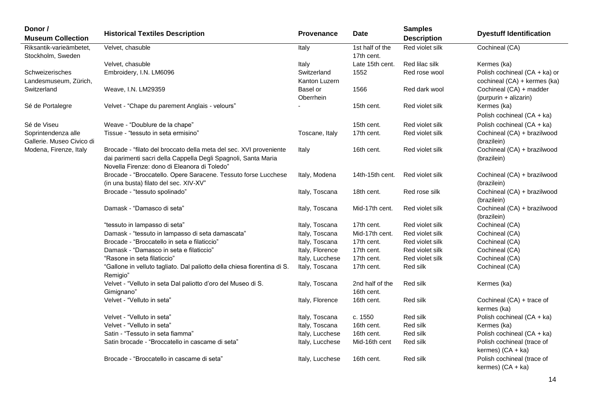| Donor /<br><b>Museum Collection</b>              | <b>Historical Textiles Description</b>                                                                                                                                               | <b>Provenance</b>            | <b>Date</b>                   | <b>Samples</b><br><b>Description</b> | <b>Dyestuff Identification</b>                                |
|--------------------------------------------------|--------------------------------------------------------------------------------------------------------------------------------------------------------------------------------------|------------------------------|-------------------------------|--------------------------------------|---------------------------------------------------------------|
| Riksantik-varieämbetet,<br>Stockholm, Sweden     | Velvet, chasuble                                                                                                                                                                     | Italy                        | 1st half of the<br>17th cent. | Red violet silk                      | Cochineal (CA)                                                |
|                                                  | Velvet, chasuble                                                                                                                                                                     | Italy                        | Late 15th cent.               | Red lilac silk                       | Kermes (ka)                                                   |
| Schweizerisches<br>Landesmuseum, Zürich,         | Embroidery, I.N. LM6096                                                                                                                                                              | Switzerland<br>Kanton Luzern | 1552                          | Red rose wool                        | Polish cochineal (CA + ka) or<br>cochineal (CA) + kermes (ka) |
| Switzerland                                      | Weave, I.N. LM29359                                                                                                                                                                  | Basel or<br>Oberrhein        | 1566                          | Red dark wool                        | Cochineal (CA) + madder<br>(purpurin + alizarin)              |
| Sé de Portalegre                                 | Velvet - "Chape du parement Anglais - velours"                                                                                                                                       |                              | 15th cent.                    | Red violet silk                      | Kermes (ka)<br>Polish cochineal (CA + ka)                     |
| Sé de Viseu                                      | Weave - "Doublure de la chape"                                                                                                                                                       |                              | 15th cent.                    | Red violet silk                      | Polish cochineal (CA + ka)                                    |
| Soprintendenza alle<br>Gallerie. Museo Civico di | Tissue - "tessuto in seta ermisino"                                                                                                                                                  | Toscane, Italy               | 17th cent.                    | Red violet silk                      | Cochineal (CA) + brazilwood<br>(brazilein)                    |
| Modena, Firenze, Italy                           | Brocade - "filato del broccato della meta del sec. XVI proveniente<br>dai parimenti sacri della Cappella Degli Spagnoli, Santa Maria<br>Novella Firenze: dono di Eleanora di Toledo" | Italy                        | 16th cent.                    | Red violet silk                      | Cochineal (CA) + brazilwood<br>(brazilein)                    |
|                                                  | Brocade - "Broccatello. Opere Saracene. Tessuto forse Lucchese                                                                                                                       | Italy, Modena                | 14th-15th cent.               | Red violet silk                      | Cochineal (CA) + brazilwood                                   |
|                                                  | (in una busta) filato del sec. XIV-XV"                                                                                                                                               |                              |                               |                                      | (brazilein)                                                   |
|                                                  | Brocade - "tessuto spolinado"                                                                                                                                                        | Italy, Toscana               | 18th cent.                    | Red rose silk                        | Cochineal (CA) + brazilwood<br>(brazilein)                    |
|                                                  | Damask - "Damasco di seta"                                                                                                                                                           | Italy, Toscana               | Mid-17th cent.                | Red violet silk                      | Cochineal (CA) + brazilwood<br>(brazilein)                    |
|                                                  | "tessuto in lampasso di seta"                                                                                                                                                        | Italy, Toscana               | 17th cent.                    | Red violet silk                      | Cochineal (CA)                                                |
|                                                  | Damask - "tessuto in lampasso di seta damascata"                                                                                                                                     | Italy, Toscana               | Mid-17th cent.                | Red violet silk                      | Cochineal (CA)                                                |
|                                                  | Brocade - "Broccatello in seta e filaticcio"                                                                                                                                         | Italy, Toscana               | 17th cent.                    | Red violet silk                      | Cochineal (CA)                                                |
|                                                  | Damask - "Damasco in seta e filaticcio"                                                                                                                                              | Italy, Florence              | 17th cent.                    | Red violet silk                      | Cochineal (CA)                                                |
|                                                  | "Rasone in seta filaticcio"                                                                                                                                                          | Italy, Lucchese              | 17th cent.                    | Red violet silk                      | Cochineal (CA)                                                |
|                                                  | "Gallone in velluto tagliato. Dal paliotto della chiesa fiorentina di S.<br>Remigio"                                                                                                 | Italy, Toscana               | 17th cent.                    | Red silk                             | Cochineal (CA)                                                |
|                                                  | Velvet - "Velluto in seta Dal paliotto d'oro del Museo di S.<br>Gimignano"                                                                                                           | Italy, Toscana               | 2nd half of the<br>16th cent. | Red silk                             | Kermes (ka)                                                   |
|                                                  | Velvet - "Velluto in seta"                                                                                                                                                           | Italy, Florence              | 16th cent.                    | Red silk                             | Cochineal (CA) + trace of<br>kermes (ka)                      |
|                                                  | Velvet - "Velluto in seta"                                                                                                                                                           | Italy, Toscana               | c. 1550                       | Red silk                             | Polish cochineal (CA + ka)                                    |
|                                                  | Velvet - "Velluto in seta"                                                                                                                                                           | Italy, Toscana               | 16th cent.                    | Red silk                             | Kermes (ka)                                                   |
|                                                  | Satin - "Tessuto in seta fiamma"                                                                                                                                                     | Italy, Lucchese              | 16th cent.                    | Red silk                             | Polish cochineal (CA + ka)                                    |
|                                                  | Satin brocade - "Broccatello in cascame di seta"                                                                                                                                     | Italy, Lucchese              | Mid-16th cent                 | Red silk                             | Polish cochineal (trace of<br>kermes) $(CA + ka)$             |
|                                                  | Brocade - "Broccatello in cascame di seta"                                                                                                                                           | Italy, Lucchese              | 16th cent.                    | Red silk                             | Polish cochineal (trace of<br>kermes) (CA + ka)               |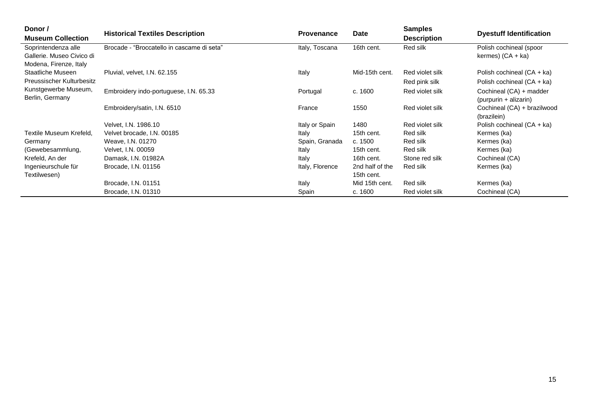| Donor /                   |                                            |                   | Date            | <b>Samples</b>     |                                |
|---------------------------|--------------------------------------------|-------------------|-----------------|--------------------|--------------------------------|
| <b>Museum Collection</b>  | <b>Historical Textiles Description</b>     | <b>Provenance</b> |                 | <b>Description</b> | <b>Dyestuff Identification</b> |
| Soprintendenza alle       | Brocade - "Broccatello in cascame di seta" | Italy, Toscana    | 16th cent.      | Red silk           | Polish cochineal (spoor        |
| Gallerie, Museo Civico di |                                            |                   |                 |                    | kermes) $(CA + ka)$            |
| Modena, Firenze, Italy    |                                            |                   |                 |                    |                                |
| Staatliche Museen         | Pluvial, velvet, I.N. 62.155               | Italy             | Mid-15th cent.  | Red violet silk    | Polish cochineal (CA + ka)     |
| Preussischer Kulturbesitz |                                            |                   |                 | Red pink silk      | Polish cochineal (CA + ka)     |
| Kunstgewerbe Museum,      | Embroidery indo-portuguese, I.N. 65.33     | Portugal          | c. 1600         | Red violet silk    | Cochineal (CA) + madder        |
| Berlin, Germany           |                                            |                   |                 |                    | (purpurin + alizarin)          |
|                           | Embroidery/satin, I.N. 6510                | France            | 1550            | Red violet silk    | Cochineal (CA) + brazilwood    |
|                           |                                            |                   |                 |                    | (brazilein)                    |
|                           | Velvet, I.N. 1986.10                       | Italy or Spain    | 1480            | Red violet silk    | Polish cochineal (CA + ka)     |
| Textile Museum Krefeld,   | Velvet brocade, I.N. 00185                 | Italy             | 15th cent.      | Red silk           | Kermes (ka)                    |
| Germany                   | Weave, I.N. 01270                          | Spain, Granada    | c. 1500         | Red silk           | Kermes (ka)                    |
| (Gewebesammlung,          | Velvet, I.N. 00059                         | Italy             | 15th cent.      | Red silk           | Kermes (ka)                    |
| Krefeld, An der           | Damask, I.N. 01982A                        | Italy             | 16th cent.      | Stone red silk     | Cochineal (CA)                 |
| Ingenieurschule für       | Brocade, I.N. 01156                        | Italy, Florence   | 2nd half of the | Red silk           | Kermes (ka)                    |
| Textilwesen)              |                                            |                   | 15th cent.      |                    |                                |
|                           | Brocade, I.N. 01151                        | Italy             | Mid 15th cent.  | Red silk           | Kermes (ka)                    |
|                           | Brocade, I.N. 01310                        | Spain             | c. 1600         | Red violet silk    | Cochineal (CA)                 |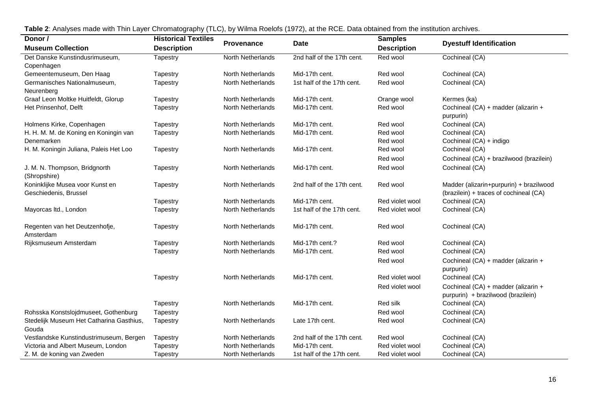| Donor /                                     | <b>Historical Textiles</b> |                          |                            | <b>Samples</b>     |                                                                           |
|---------------------------------------------|----------------------------|--------------------------|----------------------------|--------------------|---------------------------------------------------------------------------|
| <b>Museum Collection</b>                    | <b>Description</b>         | <b>Provenance</b>        | <b>Date</b>                | <b>Description</b> | <b>Dyestuff Identification</b>                                            |
| Det Danske Kunstindusrimuseum,              | Tapestry                   | North Netherlands        | 2nd half of the 17th cent. | Red wool           | Cochineal (CA)                                                            |
| Copenhagen                                  |                            |                          |                            |                    |                                                                           |
| Gemeentemuseum, Den Haag                    | Tapestry                   | North Netherlands        | Mid-17th cent.             | Red wool           | Cochineal (CA)                                                            |
| Germanisches Nationalmuseum,                | Tapestry                   | North Netherlands        | 1st half of the 17th cent. | Red wool           | Cochineal (CA)                                                            |
| Neurenberg                                  |                            |                          |                            |                    |                                                                           |
| Graaf Leon Moltke Huitfeldt, Glorup         | Tapestry                   | <b>North Netherlands</b> | Mid-17th cent.             | Orange wool        | Kermes (ka)                                                               |
| Het Prinsenhof, Delft                       | Tapestry                   | North Netherlands        | Mid-17th cent.             | Red wool           | Cochineal (CA) + madder (alizarin +<br>purpurin)                          |
| Holmens Kirke, Copenhagen                   | Tapestry                   | North Netherlands        | Mid-17th cent.             | Red wool           | Cochineal (CA)                                                            |
| H. H. M. M. de Koning en Koningin van       | Tapestry                   | North Netherlands        | Mid-17th cent.             | Red wool           | Cochineal (CA)                                                            |
| Denemarken                                  |                            |                          |                            | Red wool           | Cochineal (CA) + indigo                                                   |
| H. M. Koningin Juliana, Paleis Het Loo      | Tapestry                   | North Netherlands        | Mid-17th cent.             | Red wool           | Cochineal (CA)                                                            |
|                                             |                            |                          |                            | Red wool           | Cochineal (CA) + brazilwood (brazilein)                                   |
| J. M. N. Thompson, Bridgnorth               | Tapestry                   | North Netherlands        | Mid-17th cent.             | Red wool           | Cochineal (CA)                                                            |
| (Shropshire)                                |                            |                          |                            |                    |                                                                           |
| Koninklijke Musea voor Kunst en             | Tapestry                   | North Netherlands        | 2nd half of the 17th cent. | Red wool           | Madder (alizarin+purpurin) + brazilwood                                   |
| Geschiedenis, Brussel                       |                            |                          |                            |                    | (brazilein) + traces of cochineal (CA)                                    |
|                                             | Tapestry                   | North Netherlands        | Mid-17th cent.             | Red violet wool    | Cochineal (CA)                                                            |
| Mayorcas Itd., London                       | Tapestry                   | North Netherlands        | 1st half of the 17th cent. | Red violet wool    | Cochineal (CA)                                                            |
| Regenten van het Deutzenhofje,<br>Amsterdam | Tapestry                   | North Netherlands        | Mid-17th cent.             | Red wool           | Cochineal (CA)                                                            |
| Rijksmuseum Amsterdam                       | Tapestry                   | North Netherlands        | Mid-17th cent.?            | Red wool           | Cochineal (CA)                                                            |
|                                             | Tapestry                   | North Netherlands        | Mid-17th cent.             | Red wool           | Cochineal (CA)                                                            |
|                                             |                            |                          |                            | Red wool           | Cochineal (CA) + madder (alizarin +                                       |
|                                             |                            |                          |                            |                    | purpurin)                                                                 |
|                                             | Tapestry                   | North Netherlands        | Mid-17th cent.             | Red violet wool    | Cochineal (CA)                                                            |
|                                             |                            |                          |                            | Red violet wool    | Cochineal (CA) + madder (alizarin +<br>purpurin) + brazilwood (brazilein) |
|                                             | Tapestry                   | North Netherlands        | Mid-17th cent.             | Red silk           | Cochineal (CA)                                                            |
| Rohsska Konstslojdmuseet, Gothenburg        | Tapestry                   |                          |                            | Red wool           | Cochineal (CA)                                                            |
| Stedelijk Museum Het Catharina Gasthius,    | Tapestry                   | North Netherlands        | Late 17th cent.            | Red wool           | Cochineal (CA)                                                            |
| Gouda                                       |                            |                          |                            |                    |                                                                           |
| Vestlandske Kunstindustrimuseum, Bergen     | Tapestry                   | North Netherlands        | 2nd half of the 17th cent. | Red wool           | Cochineal (CA)                                                            |
| Victoria and Albert Museum, London          | Tapestry                   | North Netherlands        | Mid-17th cent.             | Red violet wool    | Cochineal (CA)                                                            |
| Z. M. de koning van Zweden                  | Tapestry                   | North Netherlands        | 1st half of the 17th cent. | Red violet wool    | Cochineal (CA)                                                            |

**Table 2**: Analyses made with Thin Layer Chromatography (TLC), by Wilma Roelofs (1972), at the RCE. Data obtained from the institution archives.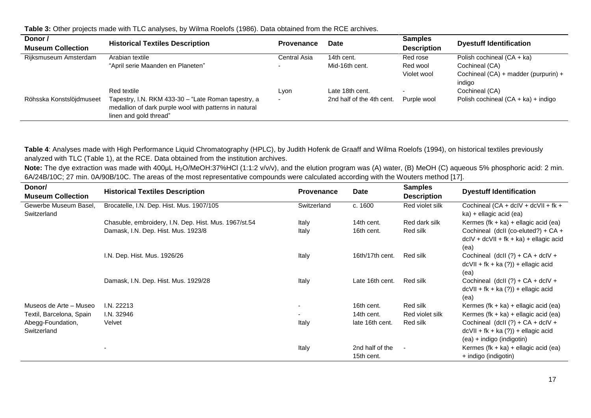**Table 3:** Other projects made with TLC analyses, by Wilma Roelofs (1986). Data obtained from the RCE archives.

| Donor /                  | <b>Historical Textiles Description</b>                                                                                                  | Provenance   | Date                      | <b>Samples</b>     | <b>Dyestuff Identification</b>         |
|--------------------------|-----------------------------------------------------------------------------------------------------------------------------------------|--------------|---------------------------|--------------------|----------------------------------------|
| <b>Museum Collection</b> |                                                                                                                                         |              |                           | <b>Description</b> |                                        |
| Rijksmuseum Amsterdam    | Arabian textile                                                                                                                         | Central Asia | 14th cent.                | Red rose           | Polish cochineal (CA + ka)             |
|                          | "April serie Maanden en Planeten"                                                                                                       |              | Mid-16th cent.            | Red wool           | Cochineal (CA)                         |
|                          |                                                                                                                                         |              |                           | Violet wool        | Cochineal $(CA)$ + madder (purpurin) + |
|                          |                                                                                                                                         |              |                           |                    | indigo                                 |
|                          | Red textile                                                                                                                             | Lvon         | Late 18th cent.           |                    | Cochineal (CA)                         |
| Röhsska Konstslöjdmuseet | Tapestry, I.N. RKM 433-30 - "Late Roman tapestry, a<br>medallion of dark purple wool with patterns in natural<br>linen and gold thread" |              | 2nd half of the 4th cent. | Purple wool        | Polish cochineal (CA + ka) + indigo    |

**Table 4**: Analyses made with High Performance Liquid Chromatography (HPLC), by Judith Hofenk de Graaff and Wilma Roelofs (1994), on historical textiles previously analyzed with TLC (Table 1), at the RCE. Data obtained from the institution archives.

Note: The dye extraction was made with 400µL H<sub>2</sub>O/MeOH:37%HCl (1:1:2 v/v/v), and the elution program was (A) water, (B) MeOH (C) aqueous 5% phosphoric acid: 2 min. 6A/24B/10C; 27 min. 0A/90B/10C. The areas of the most representative compounds were calculated according with the Wouters method [17].

| Donor/<br><b>Museum Collection</b>   | <b>Historical Textiles Description</b>                | <b>Provenance</b>        | Date                          | <b>Samples</b><br><b>Description</b> | <b>Dyestuff Identification</b>                                                                          |
|--------------------------------------|-------------------------------------------------------|--------------------------|-------------------------------|--------------------------------------|---------------------------------------------------------------------------------------------------------|
| Gewerbe Museum Basel,<br>Switzerland | Brocatelle, I.N. Dep. Hist. Mus. 1907/105             | Switzerland              | c. 1600                       | Red violet silk                      | Cochineal $(CA + dCV + dCVII + fk +$<br>ka) + ellagic acid (ea)                                         |
|                                      | Chasuble, embroidery, I.N. Dep. Hist. Mus. 1967/st.54 | Italy                    | 14th cent.                    | Red dark silk                        | Kermes (fk + ka) + ellagic acid (ea)                                                                    |
|                                      | Damask, I.N. Dep. Hist. Mus. 1923/8                   | Italy                    | 16th cent.                    | Red silk                             | Cochineal (dcll (co-eluted?) + CA +<br>$dcIV + dcVII + fk + ka) + ellagic acid$<br>(ea)                 |
|                                      | I.N. Dep. Hist. Mus. 1926/26                          | Italy                    | 16th/17th cent.               | Red silk                             | Cochineal (dcll $(?) + CA + dclV +$<br>$dcVII + fk + ka(?)$ + ellagic acid<br>(ea)                      |
|                                      | Damask, I.N. Dep. Hist. Mus. 1929/28                  | Italy                    | Late 16th cent.               | Red silk                             | Cochineal (dcll $(?) + CA + dclV +$<br>$dcVII + fk + ka(?)$ + ellagic acid<br>(ea)                      |
| Museos de Arte - Museo               | I.N. 22213                                            | ۰.                       | 16th cent.                    | Red silk                             | Kermes (fk + ka) + ellagic acid (ea)                                                                    |
| Textil, Barcelona, Spain             | I.N. 32946                                            | $\overline{\phantom{0}}$ | 14th cent.                    | Red violet silk                      | Kermes (fk + ka) + ellagic acid (ea)                                                                    |
| Abegg-Foundation,<br>Switzerland     | Velvet                                                | Italy                    | late 16th cent.               | Red silk                             | Cochineal (dcll $(?) + CA + dclV +$<br>$dcVII + fk + ka(?)$ + ellagic acid<br>(ea) + indigo (indigotin) |
|                                      |                                                       | Italy                    | 2nd half of the<br>15th cent. |                                      | Kermes (fk + ka) + ellagic acid (ea)<br>+ indigo (indigotin)                                            |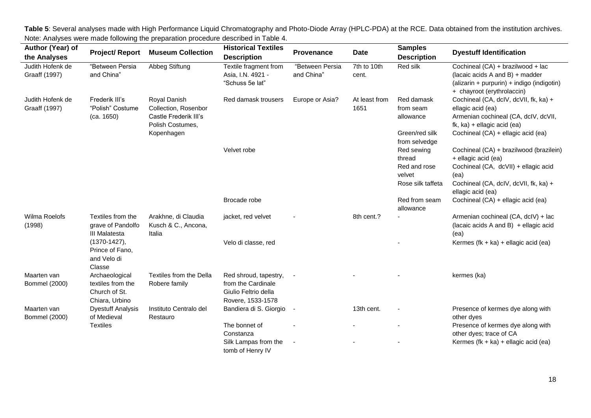**Author (Year) of the Analyses Project/ Report Museum Collection Historical Textiles Description Provenance Date Samples Dyestuff Identification** Judith Hofenk de Graaff (1997) ―Between Persia and China" Abbeg Stiftung Textile fragment from Asia, I.N. 4921 - "Schuss 5e lat" ―Between Persia and China" 7th to 10th cent. Red silk Cochineal (CA) + brazilwood + lac (lacaic acids A and B) + madder (alizarin + purpurin) + indigo (indigotin) + chayroot (erythrolaccin) Judith Hofenk de Graaff (1997) Frederik III's ―Polish‖ Costume (ca. 1650) Royal Danish Collection, Rosenbor Castle Frederik III's Polish Costumes, Kopenhagen Red damask trousers Europe or Asia? At least from 1651 Red damask from seam allowance Cochineal (CA, dcIV, dcVII, fk, ka) + ellagic acid (ea) Armenian cochineal (CA, dcIV, dcVII, fk, ka) + ellagic acid (ea) Green/red silk from selvedge Cochineal (CA) + ellagic acid (ea) Velvet robe **Red sewing** thread Cochineal (CA) + brazilwood (brazilein) + ellagic acid (ea) Red and rose velvet Cochineal (CA, dcVII) + ellagic acid (ea) Rose silk taffeta Cochineal (CA, dcIV, dcVII, fk, ka) + ellagic acid (ea) Brocade robe **Red** from seam **Red** from seam **Red** from seam **Red** from seam **Red** allowance Cochineal (CA) + ellagic acid (ea) Wilma Roelofs (1998) Textiles from the grave of Pandolfo III Malatesta (1370-1427), Prince of Fano, and Velo di Classe Arakhne, di Claudia Kusch & C., Ancona, Italia jacket, red velvet - 8th cent.? - Bigger Armenian cochineal (CA, dcIV) + lacket, red velvet (lacaic acids  $A$  and  $B$ ) + ellagic acid (ea) Velo di classe, red  $\blacksquare$  Cleared  $\blacksquare$  - Kermes (fk + ka) + ellagic acid (ea) Maarten van Bommel (2000) Archaeological textiles from the Church of St. Chiara, Urbino Textiles from the Della Robere family Red shroud, tapestry, from the Cardinale Giulio Feltrio della Rovere, 1533-1578 kermes (ka) Maarten van Bommel (2000) Dyestuff Analysis of Medieval **Textiles** Instituto Centralo del Restauro Bandiera di S. Giorgio - 13th cent. - Presence of kermes dye along with other dyes The bonnet of Constanza - **-**  $\blacksquare$  -  $\blacksquare$  -  $\blacksquare$  -  $\blacksquare$  Presence of kermes dve along with other dyes; trace of CA Silk Lampas from the tomb of Henry IV - The same state of the set of the set of the Kermes (fk + ka) + ellagic acid (ea)

**Table 5**: Several analyses made with High Performance Liquid Chromatography and Photo-Diode Array (HPLC-PDA) at the RCE. Data obtained from the institution archives. Note: Analyses were made following the preparation procedure described in Table 4.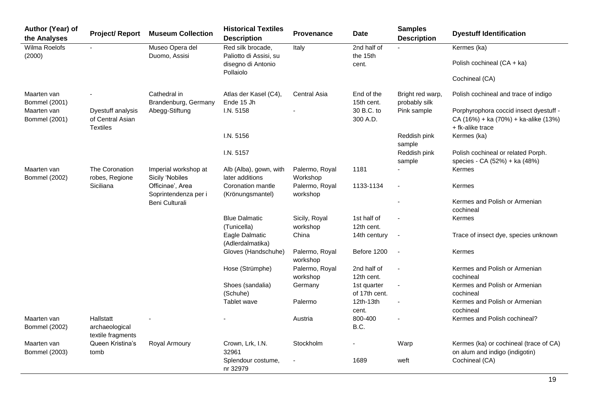| Author (Year) of<br>the Analyses    | <b>Project/Report</b>                                                                                                                           | <b>Museum Collection</b>                | <b>Historical Textiles</b><br><b>Description</b> | Provenance                       | <b>Date</b>                  | <b>Samples</b><br><b>Description</b> | <b>Dyestuff Identification</b>                                           |                                                                                                    |
|-------------------------------------|-------------------------------------------------------------------------------------------------------------------------------------------------|-----------------------------------------|--------------------------------------------------|----------------------------------|------------------------------|--------------------------------------|--------------------------------------------------------------------------|----------------------------------------------------------------------------------------------------|
| Wilma Roelofs<br>(2000)             | $\blacksquare$                                                                                                                                  | Museo Opera del<br>Duomo, Assisi        | Red silk brocade,<br>Paliotto di Assisi, su      | 2nd half of<br>Italy<br>the 15th |                              |                                      | Kermes (ka)                                                              |                                                                                                    |
|                                     |                                                                                                                                                 |                                         | disegno di Antonio<br>Pollaiolo                  |                                  | cent.                        |                                      | Polish cochineal (CA + ka)                                               |                                                                                                    |
|                                     |                                                                                                                                                 |                                         |                                                  |                                  |                              |                                      | Cochineal (CA)                                                           |                                                                                                    |
| Maarten van<br><b>Bommel</b> (2001) |                                                                                                                                                 | Cathedral in<br>Brandenburg, Germany    | Atlas der Kasel (C4),<br>Ende 15 Jh              | <b>Central Asia</b>              | End of the<br>15th cent.     | Bright red warp,<br>probably silk    | Polish cochineal and trace of indigo                                     |                                                                                                    |
| Maarten van<br><b>Bommel</b> (2001) | Dyestuff analysis<br>of Central Asian<br><b>Textiles</b>                                                                                        | Abegg-Stiftung                          | I.N. 5158<br>I.N. 5156                           |                                  |                              | 30 B.C. to<br>300 A.D.               |                                                                          | Porphyrophora coccid insect dyestuff -<br>CA (16%) + ka (70%) + ka-alike (13%)<br>+ fk-alike trace |
|                                     |                                                                                                                                                 |                                         |                                                  |                                  |                              | Reddish pink<br>sample               | Kermes (ka)                                                              |                                                                                                    |
|                                     |                                                                                                                                                 |                                         | I.N. 5157                                        |                                  |                              | Reddish pink<br>sample               | Polish cochineal or related Porph.<br>species - CA (52%) + ka (48%)      |                                                                                                    |
| Maarten van<br><b>Bommel (2002)</b> | The Coronation<br>robes, Regione                                                                                                                | Imperial workshop at<br>Sicily 'Nobiles | Alb (Alba), gown, with<br>later additions        | Palermo, Royal<br>Workshop       | 1181                         |                                      | Kermes                                                                   |                                                                                                    |
|                                     | Siciliana<br>Coronation mantle<br>1133-1134<br>Officinae', Area<br>Palermo, Royal<br>÷,<br>Soprintendenza per i<br>(Krönungsmantel)<br>workshop |                                         | Kermes                                           |                                  |                              |                                      |                                                                          |                                                                                                    |
|                                     |                                                                                                                                                 | Beni Culturali                          |                                                  |                                  |                              |                                      | Kermes and Polish or Armenian<br>cochineal                               |                                                                                                    |
|                                     |                                                                                                                                                 |                                         | <b>Blue Dalmatic</b><br>(Tunicella)              | Sicily, Royal<br>workshop        | 1st half of<br>12th cent.    |                                      | Kermes                                                                   |                                                                                                    |
|                                     |                                                                                                                                                 |                                         | Eagle Dalmatic<br>(Adlerdalmatika)               | China                            | 14th century                 | $\blacksquare$                       | Trace of insect dye, species unknown                                     |                                                                                                    |
|                                     |                                                                                                                                                 |                                         | Gloves (Handschuhe)                              | Palermo, Royal<br>workshop       | Before 1200                  | ÷,                                   | Kermes                                                                   |                                                                                                    |
|                                     |                                                                                                                                                 |                                         | Hose (Strümphe)                                  | Palermo, Royal<br>workshop       | 2nd half of<br>12th cent.    |                                      | Kermes and Polish or Armenian<br>cochineal                               |                                                                                                    |
|                                     |                                                                                                                                                 |                                         | Shoes (sandalia)<br>(Schuhe)                     | Germany                          | 1st quarter<br>of 17th cent. | $\blacksquare$                       | Kermes and Polish or Armenian<br>cochineal                               |                                                                                                    |
|                                     |                                                                                                                                                 |                                         | Tablet wave                                      | Palermo                          | 12th-13th<br>cent.           |                                      | Kermes and Polish or Armenian<br>cochineal                               |                                                                                                    |
| Maarten van<br><b>Bommel (2002)</b> | Hallstatt<br>archaeological<br>textile fragments                                                                                                |                                         |                                                  | Austria                          | 800-400<br>B.C.              |                                      | Kermes and Polish cochineal?                                             |                                                                                                    |
| Maarten van<br><b>Bommel (2003)</b> | Queen Kristina's<br>tomb                                                                                                                        | Royal Armoury                           | Crown, Lrk, I.N.<br>32961                        | Stockholm                        |                              | Warp                                 | Kermes (ka) or cochineal (trace of CA)<br>on alum and indigo (indigotin) |                                                                                                    |
|                                     |                                                                                                                                                 |                                         | Splendour costume,<br>nr 32979                   |                                  | 1689                         | weft                                 | Cochineal (CA)                                                           |                                                                                                    |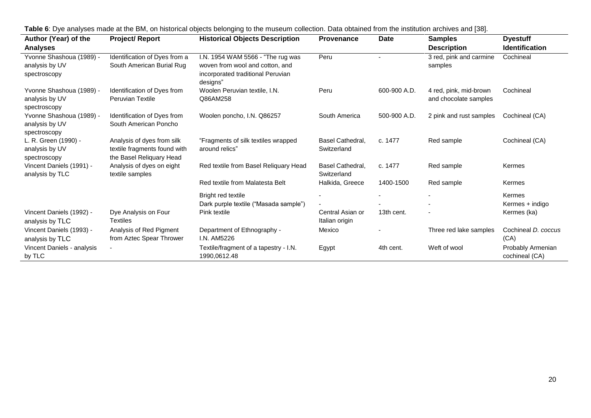| Author (Year) of the                                       | <b>. as is the second formula component of the second of the second second in the second second in the second second in the second second in the second second in the second second second in the second second second second se</b><br><b>Project/ Report</b> | to the maccant concentri Data cotamed non-the memation architectural [co].<br><b>Historical Objects Description</b> | <b>Provenance</b>                  | <b>Date</b>  | <b>Samples</b>          | <b>Dyestuff</b>                     |
|------------------------------------------------------------|----------------------------------------------------------------------------------------------------------------------------------------------------------------------------------------------------------------------------------------------------------------|---------------------------------------------------------------------------------------------------------------------|------------------------------------|--------------|-------------------------|-------------------------------------|
| <b>Analyses</b>                                            |                                                                                                                                                                                                                                                                |                                                                                                                     |                                    |              | <b>Description</b>      | <b>Identification</b>               |
| Yvonne Shashoua (1989) -                                   | Identification of Dyes from a                                                                                                                                                                                                                                  | I.N. 1954 WAM 5566 - "The rug was                                                                                   | Peru                               |              | 3 red, pink and carmine | Cochineal                           |
| analysis by UV<br>spectroscopy                             | South American Burial Rug                                                                                                                                                                                                                                      | woven from wool and cotton, and<br>incorporated traditional Peruvian<br>designs"                                    |                                    |              | samples                 |                                     |
| Yvonne Shashoua (1989) -                                   | Identification of Dyes from                                                                                                                                                                                                                                    | Woolen Peruvian textile, I.N.                                                                                       | Peru                               | 600-900 A.D. | 4 red, pink, mid-brown  | Cochineal                           |
| analysis by UV<br>spectroscopy                             | <b>Peruvian Textile</b>                                                                                                                                                                                                                                        | Q86AM258                                                                                                            |                                    |              | and chocolate samples   |                                     |
| Yvonne Shashoua (1989) -<br>analysis by UV<br>spectroscopy | Identification of Dyes from<br>South American Poncho                                                                                                                                                                                                           | Woolen poncho, I.N. Q86257                                                                                          | South America                      | 500-900 A.D. | 2 pink and rust samples | Cochineal (CA)                      |
| L. R. Green (1990) -<br>analysis by UV<br>spectroscopy     | Analysis of dyes from silk<br>textile fragments found with<br>the Basel Reliquary Head                                                                                                                                                                         | "Fragments of silk textiles wrapped<br>around relics"                                                               | Basel Cathedral,<br>Switzerland    | c. 1477      | Red sample              | Cochineal (CA)                      |
| Vincent Daniels (1991) -<br>analysis by TLC                | Analysis of dyes on eight<br>textile samples                                                                                                                                                                                                                   | Red textile from Basel Reliquary Head                                                                               | Basel Cathedral,<br>Switzerland    | c. 1477      | Red sample              | Kermes                              |
|                                                            |                                                                                                                                                                                                                                                                | Red textile from Malatesta Belt                                                                                     | Halkida, Greece                    | 1400-1500    | Red sample              | Kermes                              |
|                                                            |                                                                                                                                                                                                                                                                | Bright red textile                                                                                                  |                                    |              |                         | Kermes                              |
|                                                            |                                                                                                                                                                                                                                                                | Dark purple textile ("Masada sample")                                                                               |                                    |              |                         | Kermes + indigo                     |
| Vincent Daniels (1992) -<br>analysis by TLC                | Dye Analysis on Four<br><b>Textiles</b>                                                                                                                                                                                                                        | Pink textile                                                                                                        | Central Asian or<br>Italian origin | 13th cent.   |                         | Kermes (ka)                         |
| Vincent Daniels (1993) -<br>analysis by TLC                | Analysis of Red Pigment<br>from Aztec Spear Thrower                                                                                                                                                                                                            | Department of Ethnography -<br>I.N. AM5226                                                                          | Mexico                             |              | Three red lake samples  | Cochineal D. coccus<br>(CA)         |
| Vincent Daniels - analysis<br>by TLC                       |                                                                                                                                                                                                                                                                | Textile/fragment of a tapestry - I.N.<br>1990,0612.48                                                               | Egypt                              | 4th cent.    | Weft of wool            | Probably Armenian<br>cochineal (CA) |

**Table 6**: Dye analyses made at the BM, on historical objects belonging to the museum collection. Data obtained from the institution archives and [38].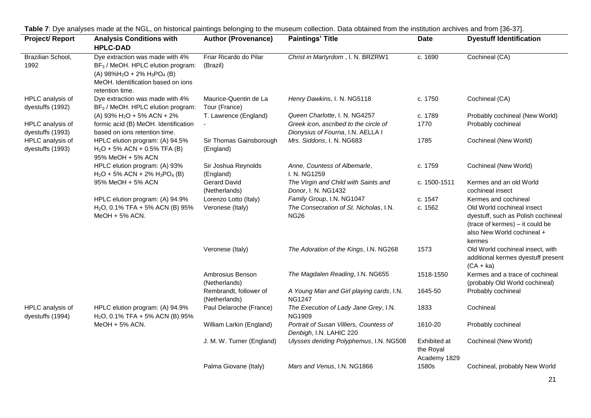| <b>Project/Report</b>                | <b>Analysis Conditions with</b>                                                                                                                                              | <b>Author (Provenance)</b>              | <b>Paintings' Title</b>                                                    | <b>Date</b>                               | <b>Dyestuff Identification</b>                                                                                                              |  |
|--------------------------------------|------------------------------------------------------------------------------------------------------------------------------------------------------------------------------|-----------------------------------------|----------------------------------------------------------------------------|-------------------------------------------|---------------------------------------------------------------------------------------------------------------------------------------------|--|
|                                      | <b>HPLC-DAD</b>                                                                                                                                                              |                                         |                                                                            |                                           |                                                                                                                                             |  |
| Brazilian School,<br>1992            | Dye extraction was made with 4%<br>BF <sub>3</sub> / MeOH. HPLC elution program:<br>(A) $98\%H_2O + 2\%H_3PO_4$ (B)<br>MeOH. Identification based on ions<br>retention time. | Friar Ricardo do Pilar<br>(Brazil)      | Christ in Martyrdom, I. N. BRZRW1                                          | c. 1690                                   | Cochineal (CA)                                                                                                                              |  |
| HPLC analysis of<br>dyestuffs (1992) | Dye extraction was made with 4%<br>BF <sub>3</sub> / MeOH. HPLC elution program:                                                                                             | Maurice-Quentin de La<br>Tour (France)  | Henry Dawkins, I. N. NG5118                                                | c. 1750                                   | Cochineal (CA)                                                                                                                              |  |
|                                      | (A) 93% $H_2O$ + 5% ACN + 2%                                                                                                                                                 | T. Lawrence (England)                   | Queen Charlotte, I. N. NG4257                                              | c. 1789                                   | Probably cochineal (New World)                                                                                                              |  |
| HPLC analysis of<br>dyestuffs (1993) | formic acid (B) MeOH. Identification<br>based on ions retention time.                                                                                                        |                                         | Greek icon, ascribed to the circle of<br>Dionysius of Fourna, I.N. AELLA I | 1770                                      | Probably cochineal                                                                                                                          |  |
| HPLC analysis of<br>dyestuffs (1993) | HPLC elution program: (A) 94.5%<br>$H2O + 5% ACN + 0.5% TFA (B)$<br>95% MeOH + 5% ACN                                                                                        | Sir Thomas Gainsborough<br>(England)    | Mrs. Siddons, I. N. NG683                                                  | 1785                                      | Cochineal (New World)                                                                                                                       |  |
|                                      | HPLC elution program: (A) 93%<br>$H_2O + 5\%$ ACN + 2% $H_3PO_4$ (B)                                                                                                         | Sir Joshua Reynolds<br>(England)        | Anne, Countess of Albemarle,<br>I. N. NG1259                               | c. 1759                                   | Cochineal (New World)                                                                                                                       |  |
|                                      | 95% MeOH + 5% ACN                                                                                                                                                            | <b>Gerard David</b><br>(Netherlands)    | The Virgin and Child with Saints and<br>Donor, I. N. NG1432                | c. 1500-1511                              | Kermes and an old World<br>cochineal insect                                                                                                 |  |
|                                      | HPLC elution program: (A) 94.9%                                                                                                                                              | Lorenzo Lotto (Italy)                   | Family Group, I.N. NG1047                                                  | c. 1547                                   | Kermes and cochineal                                                                                                                        |  |
|                                      | $H2O$ , 0.1% TFA + 5% ACN (B) 95%<br>MeOH + 5% ACN.                                                                                                                          | Veronese (Italy)                        | The Consecration of St. Nicholas, I.N.<br><b>NG26</b>                      | c. 1562                                   | Old World cochineal insect<br>dyestuff, such as Polish cochineal<br>(trace of kermes) - it could be<br>also New World cochineal +<br>kermes |  |
|                                      |                                                                                                                                                                              | Veronese (Italy)                        | The Adoration of the Kings, I.N. NG268                                     | 1573                                      | Old World cochineal insect, with<br>additional kermes dyestuff present<br>$(CA + ka)$                                                       |  |
|                                      |                                                                                                                                                                              | Ambrosius Benson<br>(Netherlands)       | The Magdalen Reading, I.N. NG655                                           | 1518-1550                                 | Kermes and a trace of cochineal<br>(probably Old World cochineal)                                                                           |  |
|                                      |                                                                                                                                                                              | Rembrandt, follower of<br>(Netherlands) | A Young Man and Girl playing cards, I.N.<br><b>NG1247</b>                  | 1645-50                                   | Probably cochineal                                                                                                                          |  |
| HPLC analysis of<br>dyestuffs (1994) | HPLC elution program: (A) 94.9%<br>$H2O$ , 0.1% TFA + 5% ACN (B) 95%                                                                                                         | Paul Delaroche (France)                 | The Execution of Lady Jane Grey, I.N.<br><b>NG1909</b>                     | 1833                                      | Cochineal                                                                                                                                   |  |
|                                      | MeOH + 5% ACN.                                                                                                                                                               | William Larkin (England)                | Portrait of Susan Villiers, Countess of<br>Denbigh, I.N. LAHIC 220         | 1610-20                                   | Probably cochineal                                                                                                                          |  |
|                                      |                                                                                                                                                                              | J. M. W. Turner (England)               | Ulysses deriding Polyphemus, I.N. NG508                                    | Exhibited at<br>the Royal<br>Academy 1829 | Cochineal (New World)                                                                                                                       |  |
|                                      |                                                                                                                                                                              | Palma Giovane (Italy)                   | Mars and Venus, I.N. NG1866                                                | 1580s                                     | Cochineal, probably New World                                                                                                               |  |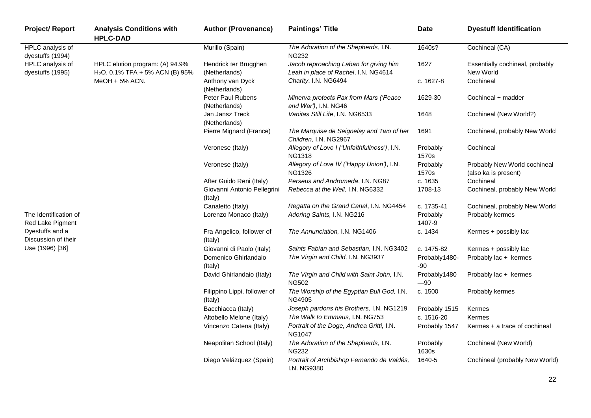| <b>Project/ Report</b>                    | <b>Analysis Conditions with</b><br><b>HPLC-DAD</b>                   | <b>Author (Provenance)</b>              | <b>Paintings' Title</b>                                                        | <b>Date</b>           | <b>Dyestuff Identification</b>                       |
|-------------------------------------------|----------------------------------------------------------------------|-----------------------------------------|--------------------------------------------------------------------------------|-----------------------|------------------------------------------------------|
| HPLC analysis of<br>dyestuffs (1994)      |                                                                      | Murillo (Spain)                         | The Adoration of the Shepherds, I.N.<br><b>NG232</b>                           | 1640s?                | Cochineal (CA)                                       |
| HPLC analysis of<br>dyestuffs (1995)      | HPLC elution program: (A) 94.9%<br>$H2O$ , 0.1% TFA + 5% ACN (B) 95% | Hendrick ter Brugghen<br>(Netherlands)  | Jacob reproaching Laban for giving him<br>Leah in place of Rachel, I.N. NG4614 | 1627                  | Essentially cochineal, probably<br>New World         |
|                                           | $MeOH + 5% ACN.$                                                     | Anthony van Dyck<br>(Netherlands)       | Charity, I.N. NG6494                                                           | c. 1627-8             | Cochineal                                            |
|                                           |                                                                      | Peter Paul Rubens<br>(Netherlands)      | Minerva protects Pax from Mars ('Peace<br>and War'), I.N. NG46                 | 1629-30               | Cochineal + madder                                   |
|                                           |                                                                      | Jan Jansz Treck<br>(Netherlands)        | Vanitas Still Life, I.N. NG6533                                                | 1648                  | Cochineal (New World?)                               |
|                                           |                                                                      | Pierre Mignard (France)                 | The Marquise de Seignelay and Two of her<br>Children, I.N. NG2967              | 1691                  | Cochineal, probably New World                        |
|                                           |                                                                      | Veronese (Italy)                        | Allegory of Love I ('Unfaithfullness'), I.N.<br><b>NG1318</b>                  | Probably<br>1570s     | Cochineal                                            |
|                                           |                                                                      | Veronese (Italy)                        | Allegory of Love IV ('Happy Union'), I.N.<br><b>NG1326</b>                     | Probably<br>1570s     | Probably New World cochineal<br>(also ka is present) |
|                                           |                                                                      | After Guido Reni (Italy)                | Perseus and Andromeda, I.N. NG87                                               | c. 1635               | Cochineal                                            |
|                                           |                                                                      | Giovanni Antonio Pellegrini<br>(Italy)  | Rebecca at the Well, I.N. NG6332                                               | 1708-13               | Cochineal, probably New World                        |
|                                           |                                                                      | Canaletto (Italy)                       | Regatta on the Grand Canal, I.N. NG4454                                        | c. 1735-41            | Cochineal, probably New World                        |
| The Identification of<br>Red Lake Pigment |                                                                      | Lorenzo Monaco (Italy)                  | Adoring Saints, I.N. NG216                                                     | Probably<br>1407-9    | Probably kermes                                      |
| Dyestuffs and a<br>Discussion of their    |                                                                      | Fra Angelico, follower of<br>(Italy)    | The Annunciation, I.N. NG1406                                                  | c. 1434               | Kermes + possibly lac                                |
| Use (1996) [36]                           |                                                                      | Giovanni di Paolo (Italy)               | Saints Fabian and Sebastian, I.N. NG3402                                       | c. 1475-82            | Kermes + possibly lac                                |
|                                           |                                                                      | Domenico Ghirlandaio<br>(Italy)         | The Virgin and Child, I.N. NG3937                                              | Probably1480-<br>-90  | Probably lac + kermes                                |
|                                           |                                                                      | David Ghirlandaio (Italy)               | The Virgin and Child with Saint John, I.N.<br><b>NG502</b>                     | Probably1480<br>$-90$ | Probably lac + kermes                                |
|                                           |                                                                      | Filippino Lippi, follower of<br>(Italy) | The Worship of the Egyptian Bull God, I.N.<br>NG4905                           | c. 1500               | Probably kermes                                      |
|                                           |                                                                      | Bacchiacca (Italy)                      | Joseph pardons his Brothers, I.N. NG1219                                       | Probably 1515         | Kermes                                               |
|                                           |                                                                      | Altobello Melone (Italy)                | The Walk to Emmaus, I.N. NG753                                                 | c. 1516-20            | Kermes                                               |
|                                           |                                                                      | Vincenzo Catena (Italy)                 | Portrait of the Doge, Andrea Gritti, I.N.<br><b>NG1047</b>                     | Probably 1547         | Kermes + a trace of cochineal                        |
|                                           |                                                                      | Neapolitan School (Italy)               | The Adoration of the Shepherds, I.N.<br><b>NG232</b>                           | Probably<br>1630s     | Cochineal (New World)                                |
|                                           |                                                                      | Diego Velázquez (Spain)                 | Portrait of Archbishop Fernando de Valdés,<br><b>I.N. NG9380</b>               | 1640-5                | Cochineal (probably New World)                       |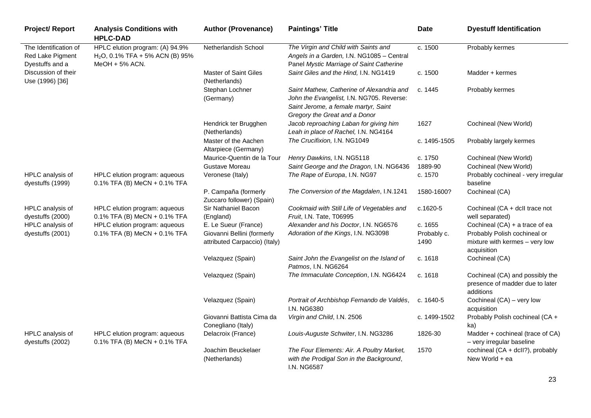| <b>Project/ Report</b>                                       | <b>Analysis Conditions with</b><br><b>HPLC-DAD</b>                                     | <b>Author (Provenance)</b>                                  | <b>Paintings' Title</b>                                                                                                                                         | <b>Date</b>         | <b>Dyestuff Identification</b>                                                  |
|--------------------------------------------------------------|----------------------------------------------------------------------------------------|-------------------------------------------------------------|-----------------------------------------------------------------------------------------------------------------------------------------------------------------|---------------------|---------------------------------------------------------------------------------|
| The Identification of<br>Red Lake Pigment<br>Dyestuffs and a | HPLC elution program: (A) 94.9%<br>$H2O$ , 0.1% TFA + 5% ACN (B) 95%<br>MeOH + 5% ACN. | Netherlandish School                                        | The Virgin and Child with Saints and<br>Angels in a Garden, I.N. NG1085 - Central<br>Panel Mystic Marriage of Saint Catherine                                   | c. 1500             | Probably kermes                                                                 |
| Discussion of their<br>Use (1996) [36]                       |                                                                                        | <b>Master of Saint Giles</b><br>(Netherlands)               | Saint Giles and the Hind, I.N. NG1419                                                                                                                           | c. 1500             | Madder + kermes                                                                 |
|                                                              |                                                                                        | Stephan Lochner<br>(Germany)                                | Saint Mathew, Catherine of Alexandria and<br>John the Evangelist, I.N. NG705. Reverse:<br>Saint Jerome, a female martyr, Saint<br>Gregory the Great and a Donor | c. 1445             | Probably kermes                                                                 |
|                                                              |                                                                                        | Hendrick ter Brugghen<br>(Netherlands)                      | Jacob reproaching Laban for giving him<br>Leah in place of Rachel, I.N. NG4164                                                                                  | 1627                | Cochineal (New World)                                                           |
|                                                              |                                                                                        | Master of the Aachen<br>Altarpiece (Germany)                | The Crucifixion, I.N. NG1049                                                                                                                                    | c. 1495-1505        | Probably largely kermes                                                         |
|                                                              |                                                                                        | Maurice-Quentin de la Tour                                  | Henry Dawkins, I.N. NG5118                                                                                                                                      | c. 1750             | Cochineal (New World)                                                           |
|                                                              |                                                                                        | Gustave Moreau                                              | Saint George and the Dragon, I.N. NG6436                                                                                                                        | 1889-90             | Cochineal (New World)                                                           |
| HPLC analysis of<br>dyestuffs (1999)                         | HPLC elution program: aqueous<br>$0.1\%$ TFA (B) MeCN + 0.1% TFA                       | Veronese (Italy)                                            | The Rape of Europa, I.N. NG97                                                                                                                                   | c. 1570             | Probably cochineal - very irregular<br>baseline                                 |
|                                                              |                                                                                        | P. Campaña (formerly<br>Zuccaro follower) (Spain)           | The Conversion of the Magdalen, I.N.1241                                                                                                                        | 1580-1600?          | Cochineal (CA)                                                                  |
| HPLC analysis of<br>dyestuffs (2000)                         | HPLC elution program: aqueous<br>$0.1\%$ TFA (B) MeCN + 0.1% TFA                       | Sir Nathaniel Bacon<br>(England)                            | Cookmaid with Still Life of Vegetables and<br>Fruit, I.N. Tate, T06995                                                                                          | c.1620-5            | Cochineal (CA + dcll trace not<br>well separated)                               |
| HPLC analysis of                                             | HPLC elution program: aqueous                                                          | E. Le Sueur (France)                                        | Alexander and his Doctor, I.N. NG6576                                                                                                                           | c. 1655             | Cochineal $(CA)$ + a trace of ea                                                |
| dyestuffs (2001)                                             | $0.1\%$ TFA (B) MeCN + 0.1% TFA                                                        | Giovanni Bellini (formerly<br>attributed Carpaccio) (Italy) | Adoration of the Kings, I.N. NG3098                                                                                                                             | Probably c.<br>1490 | Probably Polish cochineal or<br>mixture with kermes - very low<br>acquisition   |
|                                                              |                                                                                        | Velazquez (Spain)                                           | Saint John the Evangelist on the Island of<br>Patmos, I.N. NG6264                                                                                               | c. 1618             | Cochineal (CA)                                                                  |
|                                                              |                                                                                        | Velazquez (Spain)                                           | The Immaculate Conception, I.N. NG6424                                                                                                                          | c. 1618             | Cochineal (CA) and possibly the<br>presence of madder due to later<br>additions |
|                                                              |                                                                                        | Velazquez (Spain)                                           | Portrait of Archbishop Fernando de Valdés,<br><b>I.N. NG6380</b>                                                                                                | c. $1640-5$         | Cochineal (CA) - very low<br>acquisition                                        |
|                                                              |                                                                                        | Giovanni Battista Cima da<br>Conegliano (Italy)             | Virgin and Child, I.N. 2506                                                                                                                                     | c. 1499-1502        | Probably Polish cochineal (CA +<br>ka)                                          |
| HPLC analysis of<br>dyestuffs (2002)                         | HPLC elution program: aqueous<br>$0.1\%$ TFA (B) MeCN + 0.1% TFA                       | Delacroix (France)                                          | Louis-Auguste Schwiter, I.N. NG3286                                                                                                                             | 1826-30             | Madder + cochineal (trace of CA)<br>- very irregular baseline                   |
|                                                              |                                                                                        | Joachim Beuckelaer<br>(Netherlands)                         | The Four Elements: Air. A Poultry Market,<br>with the Prodigal Son in the Background,<br>I.N. NG6587                                                            | 1570                | cochineal (CA + dcll?), probably<br>New World + ea                              |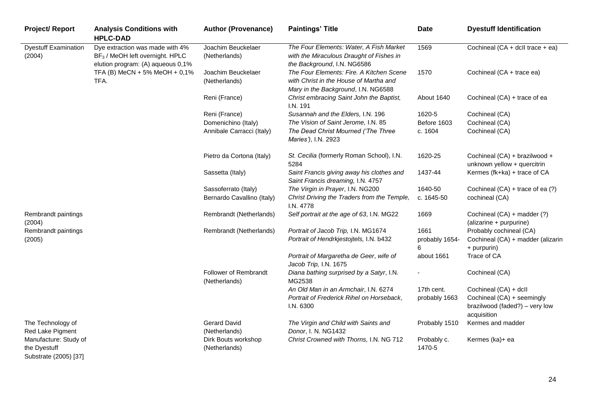| <b>Project/Report</b>                                          | <b>Analysis Conditions with</b><br><b>HPLC-DAD</b>                                                                  | <b>Author (Provenance)</b>                    | <b>Paintings' Title</b>                                                                                                   | <b>Date</b>           | <b>Dyestuff Identification</b>                               |
|----------------------------------------------------------------|---------------------------------------------------------------------------------------------------------------------|-----------------------------------------------|---------------------------------------------------------------------------------------------------------------------------|-----------------------|--------------------------------------------------------------|
| <b>Dyestuff Examination</b><br>(2004)                          | Dye extraction was made with 4%<br>BF <sub>3</sub> / MeOH left overnight. HPLC<br>elution program: (A) aqueous 0,1% | Joachim Beuckelaer<br>(Netherlands)           | The Four Elements: Water, A Fish Market<br>with the Miraculous Draught of Fishes in<br>the Background, I.N. NG6586        | 1569                  | Cochineal (CA + dcll trace + ea)                             |
|                                                                | TFA (B) MeCN + 5% MeOH + 0,1%<br>TFA.                                                                               | Joachim Beuckelaer<br>(Netherlands)           | The Four Elements: Fire. A Kitchen Scene<br>with Christ in the House of Martha and<br>Mary in the Background, I.N. NG6588 | 1570                  | Cochineal (CA + trace ea)                                    |
|                                                                |                                                                                                                     | Reni (France)                                 | Christ embracing Saint John the Baptist,<br>I.N. 191                                                                      | About 1640            | Cochineal (CA) + trace of ea                                 |
|                                                                |                                                                                                                     | Reni (France)                                 | Susannah and the Elders, I.N. 196                                                                                         | 1620-5                | Cochineal (CA)                                               |
|                                                                |                                                                                                                     | Domenichino (Italy)                           | The Vision of Saint Jerome, I.N. 85                                                                                       | Before 1603           | Cochineal (CA)                                               |
|                                                                |                                                                                                                     | Annibale Carracci (Italy)                     | The Dead Christ Mourned ('The Three<br>Maries'), I.N. 2923                                                                | c. 1604               | Cochineal (CA)                                               |
|                                                                |                                                                                                                     | Pietro da Cortona (Italy)                     | St. Cecilia (formerly Roman School), I.N.<br>5284                                                                         | 1620-25               | Cochineal (CA) + brazilwood +<br>unknown yellow + quercitrin |
|                                                                |                                                                                                                     | Sassetta (Italy)                              | Saint Francis giving away his clothes and<br>Saint Francis dreaming, I.N. 4757                                            | 1437-44               | Kermes (fk+ka) + trace of CA                                 |
|                                                                |                                                                                                                     | Sassoferrato (Italy)                          | The Virgin in Prayer, I.N. NG200                                                                                          | 1640-50               | Cochineal (CA) + trace of ea (?)                             |
|                                                                |                                                                                                                     | Bernardo Cavallino (Italy)                    | Christ Driving the Traders from the Temple,<br>I.N. 4778                                                                  | c. 1645-50            | cochineal (CA)                                               |
| Rembrandt paintings<br>(2004)                                  |                                                                                                                     | Rembrandt (Netherlands)                       | Self portrait at the age of 63, I.N. MG22                                                                                 | 1669                  | Cochineal (CA) + madder (?)<br>(alizarine + purpurine)       |
| Rembrandt paintings                                            |                                                                                                                     | Rembrandt (Netherlands)                       | Portrait of Jacob Trip, I.N. MG1674                                                                                       | 1661                  | Probably cochineal (CA)                                      |
| (2005)                                                         |                                                                                                                     |                                               | Portrait of Hendrkjestojtels, I.N. b432                                                                                   | probably 1654-<br>6   | Cochineal (CA) + madder (alizarin<br>+ purpurin)             |
|                                                                |                                                                                                                     |                                               | Portrait of Margaretha de Geer, wife of<br>Jacob Trip, I.N. 1675                                                          | about 1661            | Trace of CA                                                  |
|                                                                |                                                                                                                     | <b>Follower of Rembrandt</b><br>(Netherlands) | Diana bathing surprised by a Satyr, I.N.<br>MG2538                                                                        |                       | Cochineal (CA)                                               |
|                                                                |                                                                                                                     |                                               | An Old Man in an Armchair, I.N. 6274                                                                                      | 17th cent.            | Cochineal (CA) + dcll                                        |
|                                                                |                                                                                                                     |                                               | Portrait of Frederick Rihel on Horseback,                                                                                 | probably 1663         | Cochineal (CA) + seemingly                                   |
|                                                                |                                                                                                                     |                                               | I.N. 6300                                                                                                                 |                       | brazilwood (faded?) - very low<br>acquisition                |
| The Technology of<br>Red Lake Pigment                          |                                                                                                                     | <b>Gerard David</b><br>(Netherlands)          | The Virgin and Child with Saints and<br>Donor, I. N. NG1432                                                               | Probably 1510         | Kermes and madder                                            |
| Manufacture: Study of<br>the Dyestuff<br>Substrate (2005) [37] |                                                                                                                     | Dirk Bouts workshop<br>(Netherlands)          | Christ Crowned with Thorns, I.N. NG 712                                                                                   | Probably c.<br>1470-5 | Kermes (ka)+ ea                                              |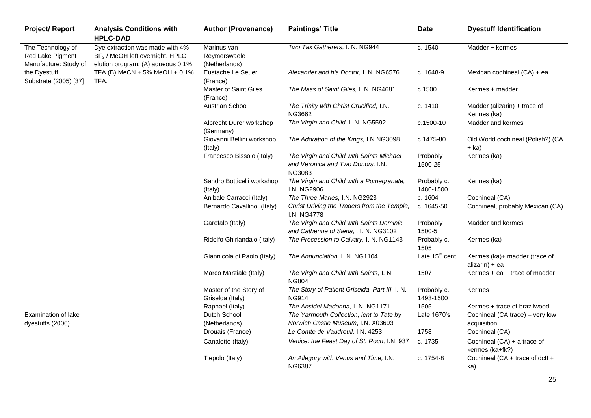| <b>Project/ Report</b>                                         | <b>Analysis Conditions with</b><br><b>HPLC-DAD</b>                                                                  | <b>Author (Provenance)</b>                   | <b>Paintings' Title</b>                                                                 | <b>Date</b>                 | <b>Dyestuff Identification</b>                   |
|----------------------------------------------------------------|---------------------------------------------------------------------------------------------------------------------|----------------------------------------------|-----------------------------------------------------------------------------------------|-----------------------------|--------------------------------------------------|
| The Technology of<br>Red Lake Pigment<br>Manufacture: Study of | Dye extraction was made with 4%<br>BF <sub>3</sub> / MeOH left overnight. HPLC<br>elution program: (A) aqueous 0,1% | Marinus van<br>Reymerswaele<br>(Netherlands) | Two Tax Gatherers, I. N. NG944                                                          | c. 1540                     | Madder + kermes                                  |
| the Dyestuff<br>Substrate (2005) [37]                          | TFA (B) MeCN + 5% MeOH + 0,1%<br>TFA.                                                                               | Eustache Le Seuer<br>(France)                | Alexander and his Doctor, I. N. NG6576                                                  | c. 1648-9                   | Mexican cochineal (CA) + ea                      |
|                                                                |                                                                                                                     | <b>Master of Saint Giles</b><br>(France)     | The Mass of Saint Giles, I. N. NG4681                                                   | c.1500                      | Kermes + madder                                  |
|                                                                |                                                                                                                     | Austrian School                              | The Trinity with Christ Crucified, I.N.<br>NG3662                                       | c. 1410                     | Madder (alizarin) + trace of<br>Kermes (ka)      |
|                                                                |                                                                                                                     | Albrecht Dürer workshop<br>(Germany)         | The Virgin and Child, I. N. NG5592                                                      | c.1500-10                   | Madder and kermes                                |
|                                                                |                                                                                                                     | Giovanni Bellini workshop<br>(Italy)         | The Adoration of the Kings, I.N.NG3098                                                  | c.1475-80                   | Old World cochineal (Polish?) (CA<br>+ ka)       |
|                                                                |                                                                                                                     | Francesco Bissolo (Italy)                    | The Virgin and Child with Saints Michael<br>and Veronica and Two Donors, I.N.<br>NG3083 | Probably<br>1500-25         | Kermes (ka)                                      |
|                                                                |                                                                                                                     | Sandro Botticelli workshop<br>(Italy)        | The Virgin and Child with a Pomegranate,<br>I.N. NG2906                                 | Probably c.<br>1480-1500    | Kermes (ka)                                      |
|                                                                |                                                                                                                     | Anibale Carracci (Italy)                     | The Three Maries, I.N. NG2923                                                           | c. 1604                     | Cochineal (CA)                                   |
|                                                                |                                                                                                                     | Bernardo Cavallino (Italy)                   | Christ Driving the Traders from the Temple,<br>I.N. NG4778                              | c. 1645-50                  | Cochineal, probably Mexican (CA)                 |
|                                                                |                                                                                                                     | Garofalo (Italy)                             | The Virgin and Child with Saints Dominic<br>and Catherine of Siena, , I. N. NG3102      | Probably<br>1500-5          | Madder and kermes                                |
|                                                                |                                                                                                                     | Ridolfo Ghirlandaio (Italy)                  | The Procession to Calvary, I. N. NG1143                                                 | Probably c.<br>1505         | Kermes (ka)                                      |
|                                                                |                                                                                                                     | Giannicola di Paolo (Italy)                  | The Annunciation, I. N. NG1104                                                          | Late 15 <sup>th</sup> cent. | Kermes (ka)+ madder (trace of<br>alizarin) + ea  |
|                                                                |                                                                                                                     | Marco Marziale (Italy)                       | The Virgin and Child with Saints, I. N.<br><b>NG804</b>                                 | 1507                        | Kermes + ea + trace of madder                    |
|                                                                |                                                                                                                     | Master of the Story of<br>Griselda (Italy)   | The Story of Patient Griselda, Part III, I. N.<br><b>NG914</b>                          | Probably c.<br>1493-1500    | Kermes                                           |
|                                                                |                                                                                                                     | Raphael (Italy)                              | The Ansidei Madonna, I. N. NG1171                                                       | 1505                        | Kermes + trace of brazilwood                     |
| Examination of lake<br>dyestuffs (2006)                        |                                                                                                                     | Dutch School<br>(Netherlands)                | The Yarmouth Collection, lent to Tate by<br>Norwich Castle Museum, I.N. X03693          | Late 1670's                 | Cochineal (CA trace) - very low<br>acquisition   |
|                                                                |                                                                                                                     | Drouais (France)                             | Le Comte de Vaudreuil, I.N. 4253                                                        | 1758                        | Cochineal (CA)                                   |
|                                                                |                                                                                                                     | Canaletto (Italy)                            | Venice: the Feast Day of St. Roch, I.N. 937                                             | c. 1735                     | Cochineal $(CA)$ + a trace of<br>kermes (ka+fk?) |
|                                                                |                                                                                                                     | Tiepolo (Italy)                              | An Allegory with Venus and Time, I.N.<br><b>NG6387</b>                                  | c. 1754-8                   | Cochineal (CA + trace of dcll +<br>ka)           |

25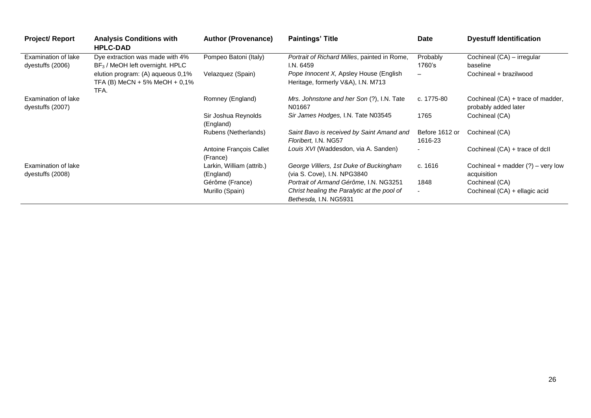| <b>Project/ Report</b>                  | <b>Analysis Conditions with</b><br><b>HPLC-DAD</b>                         | <b>Author (Provenance)</b>             | <b>Paintings' Title</b>                                                                                        | Date                             | <b>Dyestuff Identification</b>                            |
|-----------------------------------------|----------------------------------------------------------------------------|----------------------------------------|----------------------------------------------------------------------------------------------------------------|----------------------------------|-----------------------------------------------------------|
| Examination of lake<br>dyestuffs (2006) | Dye extraction was made with 4%<br>$BF3$ / MeOH left overnight. HPLC       | Pompeo Batoni (Italy)                  | Portrait of Richard Milles, painted in Rome,<br>I.N. 6459                                                      | Probably<br>1760's               | Cochineal (CA) - irregular<br>baseline                    |
|                                         | elution program: (A) aqueous 0,1%<br>TFA (B) MeCN + 5% MeOH + 0,1%<br>TFA. | Velazquez (Spain)                      | Pope Innocent X, Apsley House (English<br>Heritage, formerly V&A), I.N. M713                                   | $\qquad \qquad$                  | Cochineal + brazilwood                                    |
| Examination of lake<br>dyestuffs (2007) |                                                                            | Romney (England)                       | Mrs. Johnstone and her Son (?), I.N. Tate<br>N01667                                                            | c. 1775-80                       | Cochineal (CA) + trace of madder,<br>probably added later |
|                                         |                                                                            | Sir Joshua Reynolds<br>(England)       | Sir James Hodges, I.N. Tate N03545                                                                             | 1765                             | Cochineal (CA)                                            |
|                                         |                                                                            | Rubens (Netherlands)                   | Saint Bavo is received by Saint Amand and<br>Floribert, I.N. NG57                                              | Before 1612 or<br>1616-23        | Cochineal (CA)                                            |
|                                         |                                                                            | Antoine François Callet<br>(France)    | Louis XVI (Waddesdon, via A. Sanden)                                                                           |                                  | Cochineal (CA) + trace of dcll                            |
| Examination of lake<br>dyestuffs (2008) |                                                                            | Larkin, William (attrib.)<br>(England) | George Villiers, 1st Duke of Buckingham<br>(via S. Cove), I.N. NPG3840                                         | c. 1616                          | Cochineal + madder $(?)$ – very low<br>acquisition        |
|                                         |                                                                            | Gérôme (France)<br>Murillo (Spain)     | Portrait of Armand Gérôme, I.N. NG3251<br>Christ healing the Paralytic at the pool of<br>Bethesda, I.N. NG5931 | 1848<br>$\overline{\phantom{a}}$ | Cochineal (CA)<br>Cochineal (CA) + ellagic acid           |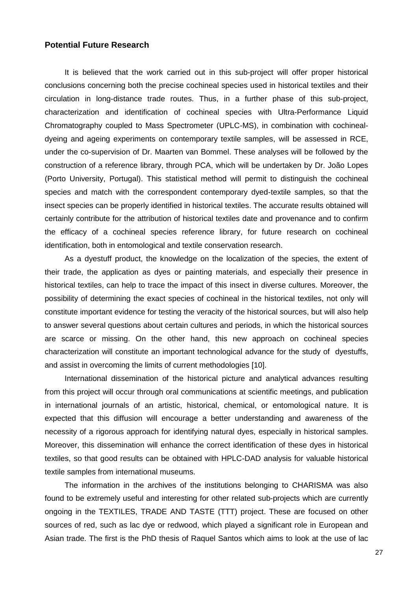#### **Potential Future Research**

It is believed that the work carried out in this sub-project will offer proper historical conclusions concerning both the precise cochineal species used in historical textiles and their circulation in long-distance trade routes. Thus, in a further phase of this sub-project, characterization and identification of cochineal species with Ultra-Performance Liquid Chromatography coupled to Mass Spectrometer (UPLC-MS), in combination with cochinealdyeing and ageing experiments on contemporary textile samples, will be assessed in RCE, under the co-supervision of Dr. Maarten van Bommel. These analyses will be followed by the construction of a reference library, through PCA, which will be undertaken by Dr. João Lopes (Porto University, Portugal). This statistical method will permit to distinguish the cochineal species and match with the correspondent contemporary dyed-textile samples, so that the insect species can be properly identified in historical textiles. The accurate results obtained will certainly contribute for the attribution of historical textiles date and provenance and to confirm the efficacy of a cochineal species reference library, for future research on cochineal identification, both in entomological and textile conservation research.

As a dyestuff product, the knowledge on the localization of the species, the extent of their trade, the application as dyes or painting materials, and especially their presence in historical textiles, can help to trace the impact of this insect in diverse cultures. Moreover, the possibility of determining the exact species of cochineal in the historical textiles, not only will constitute important evidence for testing the veracity of the historical sources, but will also help to answer several questions about certain cultures and periods, in which the historical sources are scarce or missing. On the other hand, this new approach on cochineal species characterization will constitute an important technological advance for the study of dyestuffs, and assist in overcoming the limits of current methodologies [10].

International dissemination of the historical picture and analytical advances resulting from this project will occur through oral communications at scientific meetings, and publication in international journals of an artistic, historical, chemical, or entomological nature. It is expected that this diffusion will encourage a better understanding and awareness of the necessity of a rigorous approach for identifying natural dyes, especially in historical samples. Moreover, this dissemination will enhance the correct identification of these dyes in historical textiles, so that good results can be obtained with HPLC-DAD analysis for valuable historical textile samples from international museums.

The information in the archives of the institutions belonging to CHARISMA was also found to be extremely useful and interesting for other related sub-projects which are currently ongoing in the TEXTILES, TRADE AND TASTE (TTT) project. These are focused on other sources of red, such as lac dye or redwood, which played a significant role in European and Asian trade. The first is the PhD thesis of Raquel Santos which aims to look at the use of lac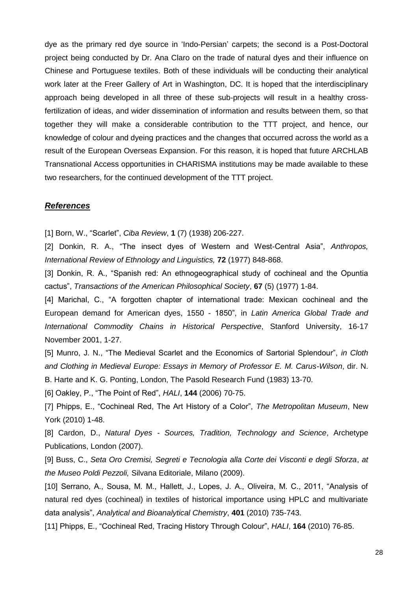dye as the primary red dye source in 'Indo-Persian' carpets; the second is a Post-Doctoral project being conducted by Dr. Ana Claro on the trade of natural dyes and their influence on Chinese and Portuguese textiles. Both of these individuals will be conducting their analytical work later at the Freer Gallery of Art in Washington, DC. It is hoped that the interdisciplinary approach being developed in all three of these sub-projects will result in a healthy crossfertilization of ideas, and wider dissemination of information and results between them, so that together they will make a considerable contribution to the TTT project, and hence, our knowledge of colour and dyeing practices and the changes that occurred across the world as a result of the European Overseas Expansion. For this reason, it is hoped that future ARCHLAB Transnational Access opportunities in CHARISMA institutions may be made available to these two researchers, for the continued development of the TTT project.

#### *References*

[1] Born, W., "Scarlet", *Ciba Review*, 1 (7) (1938) 206-227.

[2] Donkin, R. A., "The insect dyes of Western and West-Central Asia", *Anthropos*, *International Review of Ethnology and Linguistics,* **72** (1977) 848-868.

[3] Donkin, R. A., "Spanish red: An ethnogeographical study of cochineal and the Opuntia cactus‖, *Transactions of the American Philosophical Society*, **67** (5) (1977) 1-84.

[4] Marichal, C., "A forgotten chapter of international trade: Mexican cochineal and the European demand for American dyes, 1550 - 1850‖, in *Latin America Global Trade and International Commodity Chains in Historical Perspective*, Stanford University, 16-17 November 2001, 1-27.

[5] Munro, J. N., "The Medieval Scarlet and the Economics of Sartorial Splendour", *in Cloth and Clothing in Medieval Europe: Essays in Memory of Professor E. M. Carus-Wilson*, dir. N. B. Harte and K. G. Ponting, London, The Pasold Research Fund (1983) 13-70.

[6] Oakley, P., "The Point of Red", *HALI*, **144** (2006) 70-75.

[7] Phipps, E., "Cochineal Red, The Art History of a Color", The Metropolitan Museum, New York (2010) 1-48.

[8] Cardon, D., *Natural Dyes - Sources, Tradition, Technology and Science*, Archetype Publications, London (2007).

[9] Buss, C., *Seta Oro Cremisi, Segreti e Tecnologia alla Corte dei Visconti e degli Sforza*, *at the Museo Poldi Pezzoli,* Silvana Editoriale, Milano (2009).

[10] Serrano, A., Sousa, M. M., Hallett, J., Lopes, J. A., Oliveira, M. C., 2011, "Analysis of natural red dyes (cochineal) in textiles of historical importance using HPLC and multivariate data analysis‖, *Analytical and Bioanalytical Chemistry*, **401** (2010) 735-743.

[11] Phipps, E., "Cochineal Red, Tracing History Through Colour", *HALI*, **164** (2010) 76-85.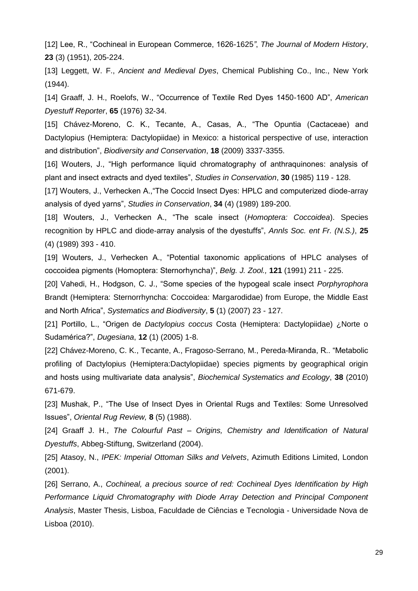[12] Lee, R., "Cochineal in European Commerce, 1626-1625", *The Journal of Modern History*, **23** (3) (1951), 205-224.

[13] Leggett, W. F., *Ancient and Medieval Dyes*, Chemical Publishing Co., Inc., New York (1944).

[14] Graaff, J. H., Roelofs, W., "Occurrence of Textile Red Dyes 1450-1600 AD", American *Dyestuff Reporter*, **65** (1976) 32-34.

[15] Chávez-Moreno, C. K., Tecante, A., Casas, A., "The Opuntia (Cactaceae) and Dactylopius (Hemiptera: Dactylopiidae) in Mexico: a historical perspective of use, interaction and distribution‖, *Biodiversity and Conservation*, **18** (2009) 3337-3355.

[16] Wouters, J., "High performance liquid chromatography of anthraquinones: analysis of plant and insect extracts and dyed textiles‖, *Studies in Conservation*, **30** (1985) 119 - 128.

[17] Wouters, J., Verhecken A., "The Coccid Insect Dyes: HPLC and computerized diode-array analysis of dyed yarns‖, *Studies in Conservation*, **34** (4) (1989) 189-200.

[18] Wouters, J., Verhecken A., "The scale insect (*Homoptera: Coccoidea*). Species recognition by HPLC and diode-array analysis of the dyestuffs‖, *Annls Soc. ent Fr. (N.S.)*, **25** (4) (1989) 393 - 410.

[19] Wouters, J., Verhecken A., "Potential taxonomic applications of HPLC analyses of coccoidea pigments (Homoptera: Sternorhyncha)‖, *Belg. J. Zool.,* **121** (1991) 211 - 225.

[20] Vahedi, H., Hodgson, C. J., "Some species of the hypogeal scale insect *Porphyrophora* Brandt (Hemiptera: Sternorrhyncha: Coccoidea: Margarodidae) from Europe, the Middle East and North Africa‖, *Systematics and Biodiversity*, **5** (1) (2007) 23 - 127.

[21] Portillo, L., ―Origen de *Dactylopius coccus* Costa (Hemiptera: Dactylopiidae) ¿Norte o Sudamérica?‖, *Dugesiana*, **12** (1) (2005) 1-8.

[22] Chávez-Moreno, C. K., Tecante, A., Fragoso-Serrano, M., Pereda-Miranda, R.. "Metabolic profiling of Dactylopius (Hemiptera:Dactylopiidae) species pigments by geographical origin and hosts using multivariate data analysis", *Biochemical Systematics and Ecology*, 38 (2010) 671-679.

[23] Mushak, P., "The Use of Insect Dyes in Oriental Rugs and Textiles: Some Unresolved Issues‖, *Oriental Rug Review,* **8** (5) (1988).

[24] Graaff J. H., *The Colourful Past – Origins, Chemistry and Identification of Natural Dyestuffs*, Abbeg-Stiftung, Switzerland (2004).

[25] Atasoy, N., *IPEK: Imperial Ottoman Silks and Velvets*, Azimuth Editions Limited, London (2001).

[26] Serrano, A., *Cochineal, a precious source of red: Cochineal Dyes Identification by High Performance Liquid Chromatography with Diode Array Detection and Principal Component Analysis*, Master Thesis, Lisboa, Faculdade de Ciências e Tecnologia - Universidade Nova de Lisboa (2010).